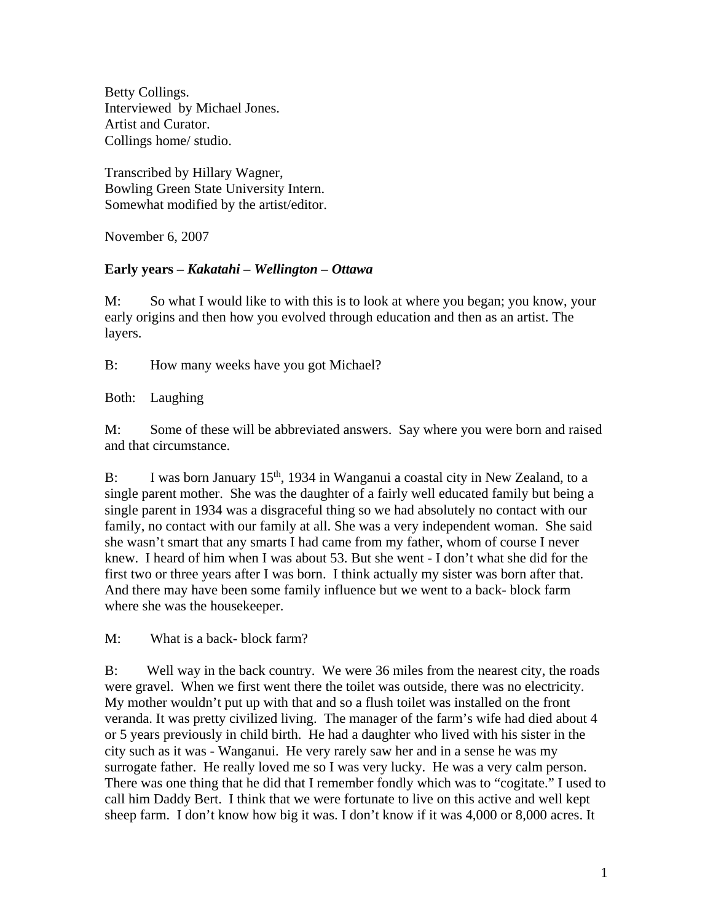Betty Collings. Interviewed by Michael Jones. Artist and Curator. Collings home/ studio.

Transcribed by Hillary Wagner, Bowling Green State University Intern. Somewhat modified by the artist/editor.

November 6, 2007

# **Early years –** *Kakatahi – Wellington – Ottawa*

M: So what I would like to with this is to look at where you began; you know, your early origins and then how you evolved through education and then as an artist. The layers.

B: How many weeks have you got Michael?

Both: Laughing

M: Some of these will be abbreviated answers. Say where you were born and raised and that circumstance.

B: I was born January  $15<sup>th</sup>$ , 1934 in Wanganui a coastal city in New Zealand, to a single parent mother. She was the daughter of a fairly well educated family but being a single parent in 1934 was a disgraceful thing so we had absolutely no contact with our family, no contact with our family at all. She was a very independent woman. She said she wasn't smart that any smarts I had came from my father, whom of course I never knew. I heard of him when I was about 53. But she went - I don't what she did for the first two or three years after I was born. I think actually my sister was born after that. And there may have been some family influence but we went to a back- block farm where she was the housekeeper.

M: What is a back- block farm?

B: Well way in the back country. We were 36 miles from the nearest city, the roads were gravel. When we first went there the toilet was outside, there was no electricity. My mother wouldn't put up with that and so a flush toilet was installed on the front veranda. It was pretty civilized living. The manager of the farm's wife had died about 4 or 5 years previously in child birth. He had a daughter who lived with his sister in the city such as it was - Wanganui. He very rarely saw her and in a sense he was my surrogate father. He really loved me so I was very lucky. He was a very calm person. There was one thing that he did that I remember fondly which was to "cogitate." I used to call him Daddy Bert. I think that we were fortunate to live on this active and well kept sheep farm. I don't know how big it was. I don't know if it was 4,000 or 8,000 acres. It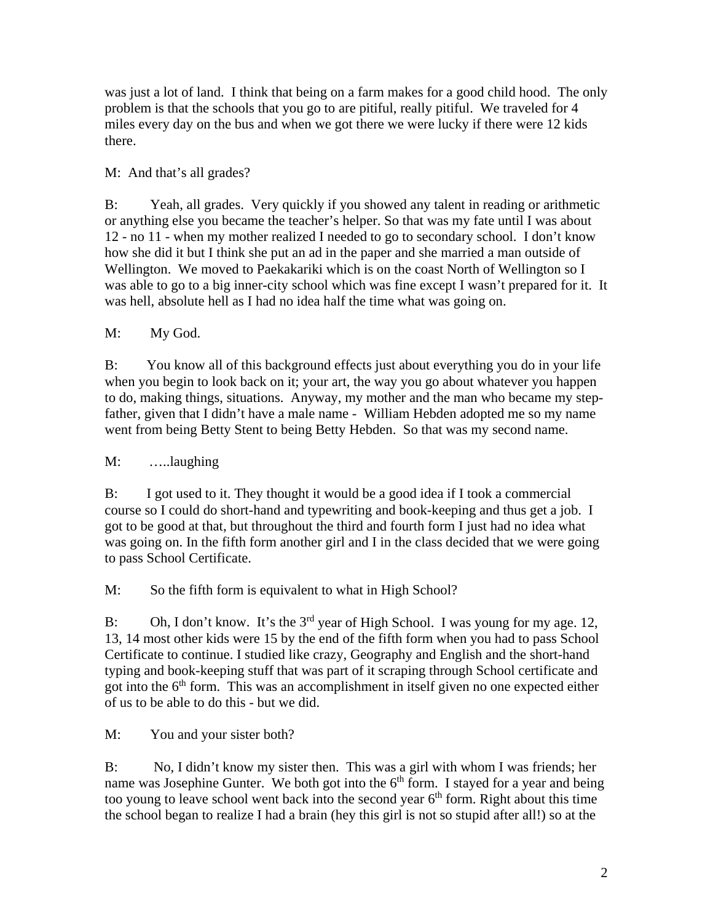was just a lot of land. I think that being on a farm makes for a good child hood. The only problem is that the schools that you go to are pitiful, really pitiful. We traveled for 4 miles every day on the bus and when we got there we were lucky if there were 12 kids there.

M: And that's all grades?

B: Yeah, all grades. Very quickly if you showed any talent in reading or arithmetic or anything else you became the teacher's helper. So that was my fate until I was about 12 - no 11 - when my mother realized I needed to go to secondary school. I don't know how she did it but I think she put an ad in the paper and she married a man outside of Wellington. We moved to Paekakariki which is on the coast North of Wellington so I was able to go to a big inner-city school which was fine except I wasn't prepared for it. It was hell, absolute hell as I had no idea half the time what was going on.

M: My God.

B: You know all of this background effects just about everything you do in your life when you begin to look back on it; your art, the way you go about whatever you happen to do, making things, situations. Anyway, my mother and the man who became my stepfather, given that I didn't have a male name - William Hebden adopted me so my name went from being Betty Stent to being Betty Hebden. So that was my second name.

M: …..laughing

B: I got used to it. They thought it would be a good idea if I took a commercial course so I could do short-hand and typewriting and book-keeping and thus get a job. I got to be good at that, but throughout the third and fourth form I just had no idea what was going on. In the fifth form another girl and I in the class decided that we were going to pass School Certificate.

M: So the fifth form is equivalent to what in High School?

B: Oh, I don't know. It's the  $3<sup>rd</sup>$  year of High School. I was young for my age. 12, 13, 14 most other kids were 15 by the end of the fifth form when you had to pass School Certificate to continue. I studied like crazy, Geography and English and the short-hand typing and book-keeping stuff that was part of it scraping through School certificate and got into the  $6<sup>th</sup>$  form. This was an accomplishment in itself given no one expected either of us to be able to do this - but we did.

M: You and your sister both?

B: No, I didn't know my sister then. This was a girl with whom I was friends; her name was Josephine Gunter. We both got into the  $6<sup>th</sup>$  form. I stayed for a year and being too young to leave school went back into the second year  $6<sup>th</sup>$  form. Right about this time the school began to realize I had a brain (hey this girl is not so stupid after all!) so at the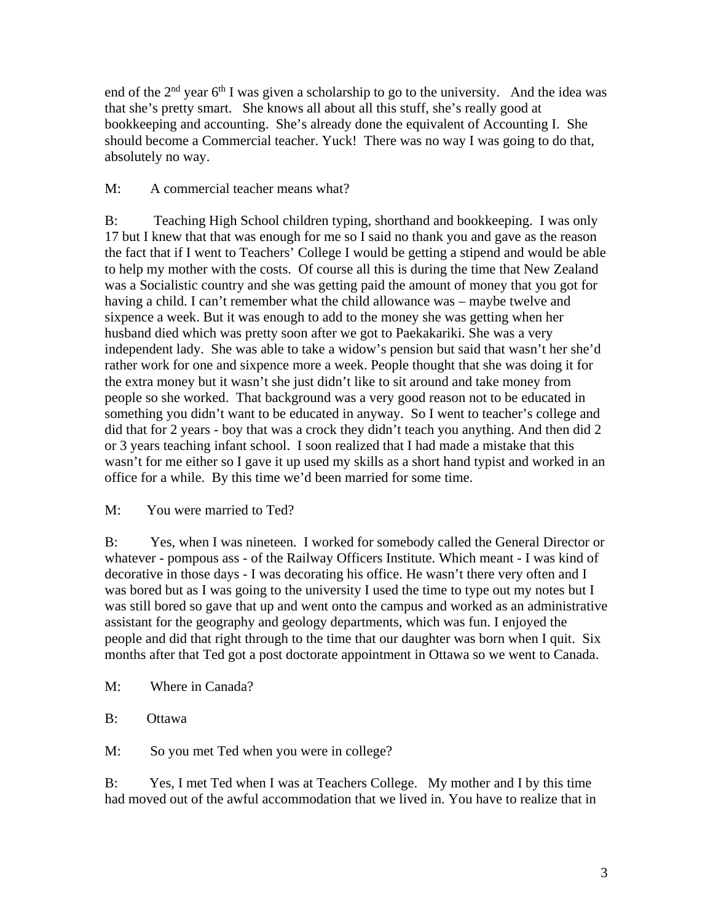end of the  $2<sup>nd</sup>$  year 6<sup>th</sup> I was given a scholarship to go to the university. And the idea was that she's pretty smart. She knows all about all this stuff, she's really good at bookkeeping and accounting. She's already done the equivalent of Accounting I. She should become a Commercial teacher. Yuck! There was no way I was going to do that, absolutely no way.

# M: A commercial teacher means what?

B: Teaching High School children typing, shorthand and bookkeeping. I was only 17 but I knew that that was enough for me so I said no thank you and gave as the reason the fact that if I went to Teachers' College I would be getting a stipend and would be able to help my mother with the costs. Of course all this is during the time that New Zealand was a Socialistic country and she was getting paid the amount of money that you got for having a child. I can't remember what the child allowance was – maybe twelve and sixpence a week. But it was enough to add to the money she was getting when her husband died which was pretty soon after we got to Paekakariki. She was a very independent lady. She was able to take a widow's pension but said that wasn't her she'd rather work for one and sixpence more a week. People thought that she was doing it for the extra money but it wasn't she just didn't like to sit around and take money from people so she worked. That background was a very good reason not to be educated in something you didn't want to be educated in anyway. So I went to teacher's college and did that for 2 years - boy that was a crock they didn't teach you anything. And then did 2 or 3 years teaching infant school. I soon realized that I had made a mistake that this wasn't for me either so I gave it up used my skills as a short hand typist and worked in an office for a while. By this time we'd been married for some time.

# M: You were married to Ted?

B: Yes, when I was nineteen. I worked for somebody called the General Director or whatever - pompous ass - of the Railway Officers Institute. Which meant - I was kind of decorative in those days - I was decorating his office. He wasn't there very often and I was bored but as I was going to the university I used the time to type out my notes but I was still bored so gave that up and went onto the campus and worked as an administrative assistant for the geography and geology departments, which was fun. I enjoyed the people and did that right through to the time that our daughter was born when I quit. Six months after that Ted got a post doctorate appointment in Ottawa so we went to Canada.

- M: Where in Canada?
- B: Ottawa

M: So you met Ted when you were in college?

B: Yes, I met Ted when I was at Teachers College. My mother and I by this time had moved out of the awful accommodation that we lived in. You have to realize that in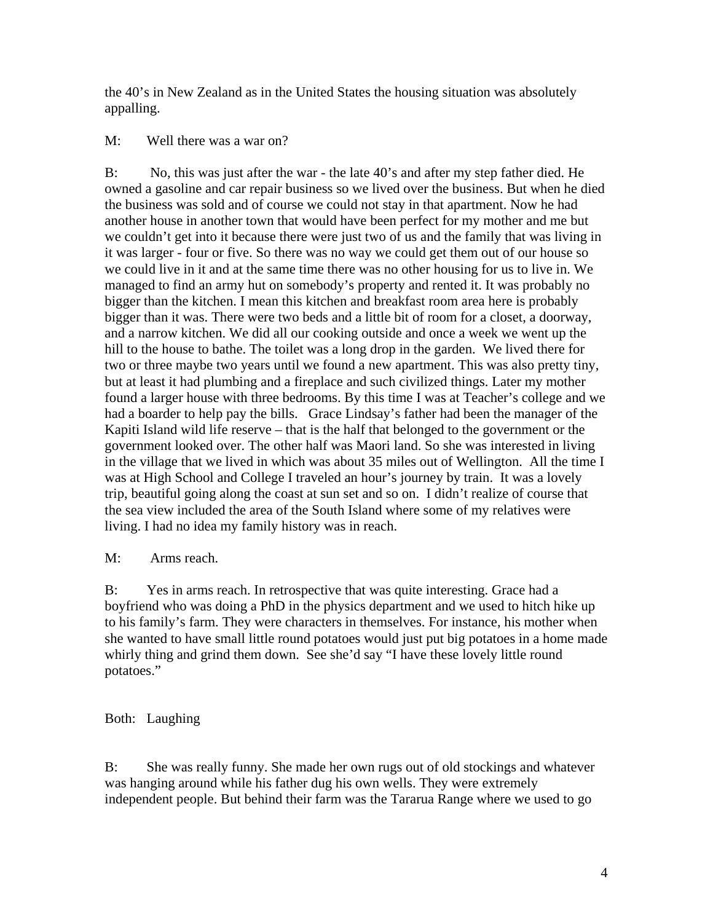the 40's in New Zealand as in the United States the housing situation was absolutely appalling.

# M: Well there was a war on?

B: No, this was just after the war - the late 40's and after my step father died. He owned a gasoline and car repair business so we lived over the business. But when he died the business was sold and of course we could not stay in that apartment. Now he had another house in another town that would have been perfect for my mother and me but we couldn't get into it because there were just two of us and the family that was living in it was larger - four or five. So there was no way we could get them out of our house so we could live in it and at the same time there was no other housing for us to live in. We managed to find an army hut on somebody's property and rented it. It was probably no bigger than the kitchen. I mean this kitchen and breakfast room area here is probably bigger than it was. There were two beds and a little bit of room for a closet, a doorway, and a narrow kitchen. We did all our cooking outside and once a week we went up the hill to the house to bathe. The toilet was a long drop in the garden. We lived there for two or three maybe two years until we found a new apartment. This was also pretty tiny, but at least it had plumbing and a fireplace and such civilized things. Later my mother found a larger house with three bedrooms. By this time I was at Teacher's college and we had a boarder to help pay the bills. Grace Lindsay's father had been the manager of the Kapiti Island wild life reserve – that is the half that belonged to the government or the government looked over. The other half was Maori land. So she was interested in living in the village that we lived in which was about 35 miles out of Wellington. All the time I was at High School and College I traveled an hour's journey by train. It was a lovely trip, beautiful going along the coast at sun set and so on. I didn't realize of course that the sea view included the area of the South Island where some of my relatives were living. I had no idea my family history was in reach.

# M: Arms reach.

B: Yes in arms reach. In retrospective that was quite interesting. Grace had a boyfriend who was doing a PhD in the physics department and we used to hitch hike up to his family's farm. They were characters in themselves. For instance, his mother when she wanted to have small little round potatoes would just put big potatoes in a home made whirly thing and grind them down. See she'd say "I have these lovely little round potatoes."

# Both: Laughing

B: She was really funny. She made her own rugs out of old stockings and whatever was hanging around while his father dug his own wells. They were extremely independent people. But behind their farm was the Tararua Range where we used to go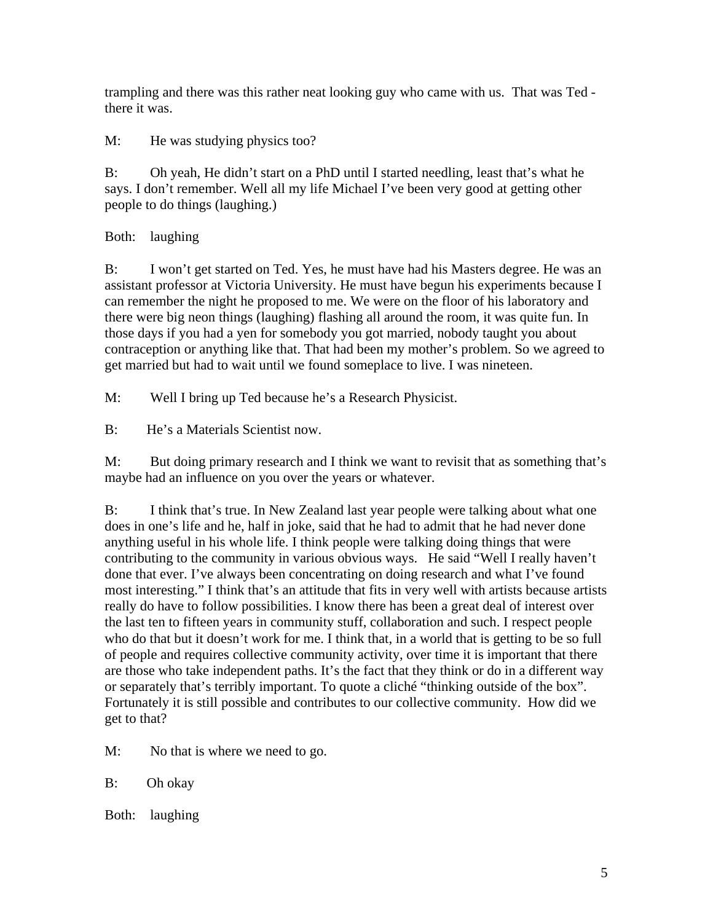trampling and there was this rather neat looking guy who came with us. That was Ted there it was.

M: He was studying physics too?

B: Oh yeah, He didn't start on a PhD until I started needling, least that's what he says. I don't remember. Well all my life Michael I've been very good at getting other people to do things (laughing.)

Both: laughing

B: I won't get started on Ted. Yes, he must have had his Masters degree. He was an assistant professor at Victoria University. He must have begun his experiments because I can remember the night he proposed to me. We were on the floor of his laboratory and there were big neon things (laughing) flashing all around the room, it was quite fun. In those days if you had a yen for somebody you got married, nobody taught you about contraception or anything like that. That had been my mother's problem. So we agreed to get married but had to wait until we found someplace to live. I was nineteen.

M: Well I bring up Ted because he's a Research Physicist.

B: He's a Materials Scientist now.

M: But doing primary research and I think we want to revisit that as something that's maybe had an influence on you over the years or whatever.

B: I think that's true. In New Zealand last year people were talking about what one does in one's life and he, half in joke, said that he had to admit that he had never done anything useful in his whole life. I think people were talking doing things that were contributing to the community in various obvious ways. He said "Well I really haven't done that ever. I've always been concentrating on doing research and what I've found most interesting." I think that's an attitude that fits in very well with artists because artists really do have to follow possibilities. I know there has been a great deal of interest over the last ten to fifteen years in community stuff, collaboration and such. I respect people who do that but it doesn't work for me. I think that, in a world that is getting to be so full of people and requires collective community activity, over time it is important that there are those who take independent paths. It's the fact that they think or do in a different way or separately that's terribly important. To quote a cliché "thinking outside of the box". Fortunately it is still possible and contributes to our collective community. How did we get to that?

M: No that is where we need to go.

B: Oh okay

Both: laughing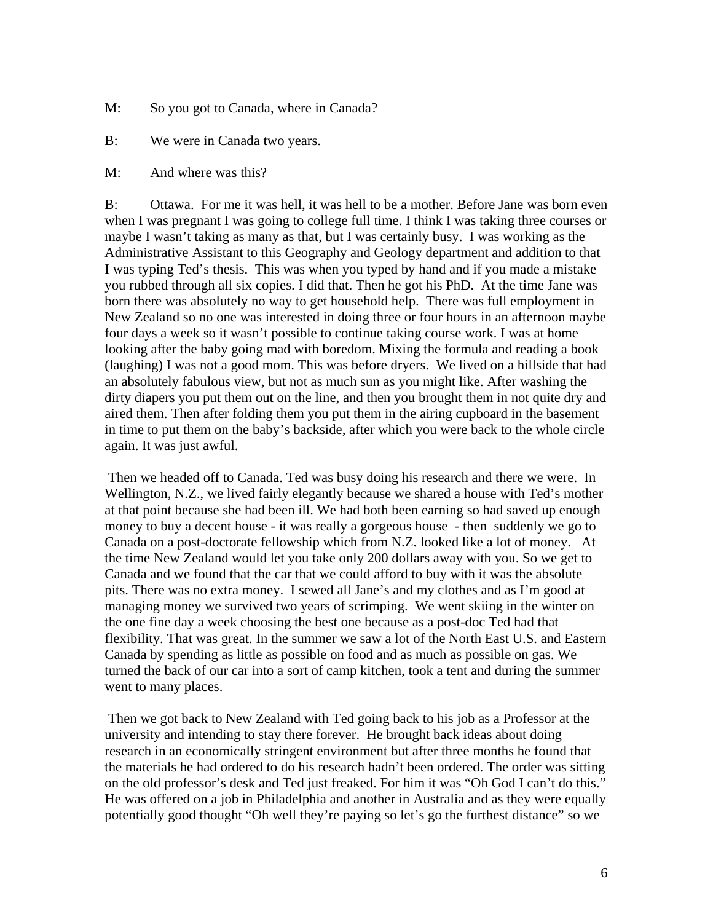- M: So you got to Canada, where in Canada?
- B: We were in Canada two years.
- M: And where was this?

B: Ottawa. For me it was hell, it was hell to be a mother. Before Jane was born even when I was pregnant I was going to college full time. I think I was taking three courses or maybe I wasn't taking as many as that, but I was certainly busy. I was working as the Administrative Assistant to this Geography and Geology department and addition to that I was typing Ted's thesis. This was when you typed by hand and if you made a mistake you rubbed through all six copies. I did that. Then he got his PhD. At the time Jane was born there was absolutely no way to get household help. There was full employment in New Zealand so no one was interested in doing three or four hours in an afternoon maybe four days a week so it wasn't possible to continue taking course work. I was at home looking after the baby going mad with boredom. Mixing the formula and reading a book (laughing) I was not a good mom. This was before dryers. We lived on a hillside that had an absolutely fabulous view, but not as much sun as you might like. After washing the dirty diapers you put them out on the line, and then you brought them in not quite dry and aired them. Then after folding them you put them in the airing cupboard in the basement in time to put them on the baby's backside, after which you were back to the whole circle again. It was just awful.

Then we headed off to Canada. Ted was busy doing his research and there we were. In Wellington, N.Z., we lived fairly elegantly because we shared a house with Ted's mother at that point because she had been ill. We had both been earning so had saved up enough money to buy a decent house - it was really a gorgeous house - then suddenly we go to Canada on a post-doctorate fellowship which from N.Z. looked like a lot of money. At the time New Zealand would let you take only 200 dollars away with you. So we get to Canada and we found that the car that we could afford to buy with it was the absolute pits. There was no extra money. I sewed all Jane's and my clothes and as I'm good at managing money we survived two years of scrimping. We went skiing in the winter on the one fine day a week choosing the best one because as a post-doc Ted had that flexibility. That was great. In the summer we saw a lot of the North East U.S. and Eastern Canada by spending as little as possible on food and as much as possible on gas. We turned the back of our car into a sort of camp kitchen, took a tent and during the summer went to many places.

Then we got back to New Zealand with Ted going back to his job as a Professor at the university and intending to stay there forever. He brought back ideas about doing research in an economically stringent environment but after three months he found that the materials he had ordered to do his research hadn't been ordered. The order was sitting on the old professor's desk and Ted just freaked. For him it was "Oh God I can't do this." He was offered on a job in Philadelphia and another in Australia and as they were equally potentially good thought "Oh well they're paying so let's go the furthest distance" so we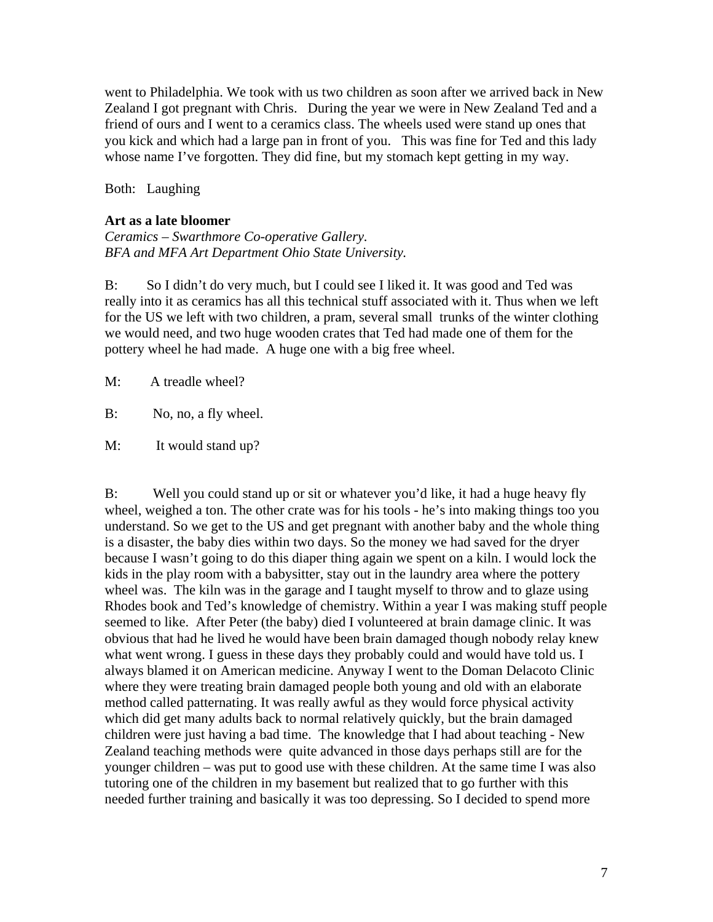went to Philadelphia. We took with us two children as soon after we arrived back in New Zealand I got pregnant with Chris. During the year we were in New Zealand Ted and a friend of ours and I went to a ceramics class. The wheels used were stand up ones that you kick and which had a large pan in front of you. This was fine for Ted and this lady whose name I've forgotten. They did fine, but my stomach kept getting in my way.

Both: Laughing

#### **Art as a late bloomer**

*Ceramics – Swarthmore Co-operative Gallery. BFA and MFA Art Department Ohio State University.*

B: So I didn't do very much, but I could see I liked it. It was good and Ted was really into it as ceramics has all this technical stuff associated with it. Thus when we left for the US we left with two children, a pram, several small trunks of the winter clothing we would need, and two huge wooden crates that Ted had made one of them for the pottery wheel he had made. A huge one with a big free wheel.

M: A treadle wheel?

B: No, no, a fly wheel.

M: It would stand up?

B: Well you could stand up or sit or whatever you'd like, it had a huge heavy fly wheel, weighed a ton. The other crate was for his tools - he's into making things too you understand. So we get to the US and get pregnant with another baby and the whole thing is a disaster, the baby dies within two days. So the money we had saved for the dryer because I wasn't going to do this diaper thing again we spent on a kiln. I would lock the kids in the play room with a babysitter, stay out in the laundry area where the pottery wheel was. The kiln was in the garage and I taught myself to throw and to glaze using Rhodes book and Ted's knowledge of chemistry. Within a year I was making stuff people seemed to like. After Peter (the baby) died I volunteered at brain damage clinic. It was obvious that had he lived he would have been brain damaged though nobody relay knew what went wrong. I guess in these days they probably could and would have told us. I always blamed it on American medicine. Anyway I went to the Doman Delacoto Clinic where they were treating brain damaged people both young and old with an elaborate method called patternating. It was really awful as they would force physical activity which did get many adults back to normal relatively quickly, but the brain damaged children were just having a bad time. The knowledge that I had about teaching - New Zealand teaching methods were quite advanced in those days perhaps still are for the younger children – was put to good use with these children. At the same time I was also tutoring one of the children in my basement but realized that to go further with this needed further training and basically it was too depressing. So I decided to spend more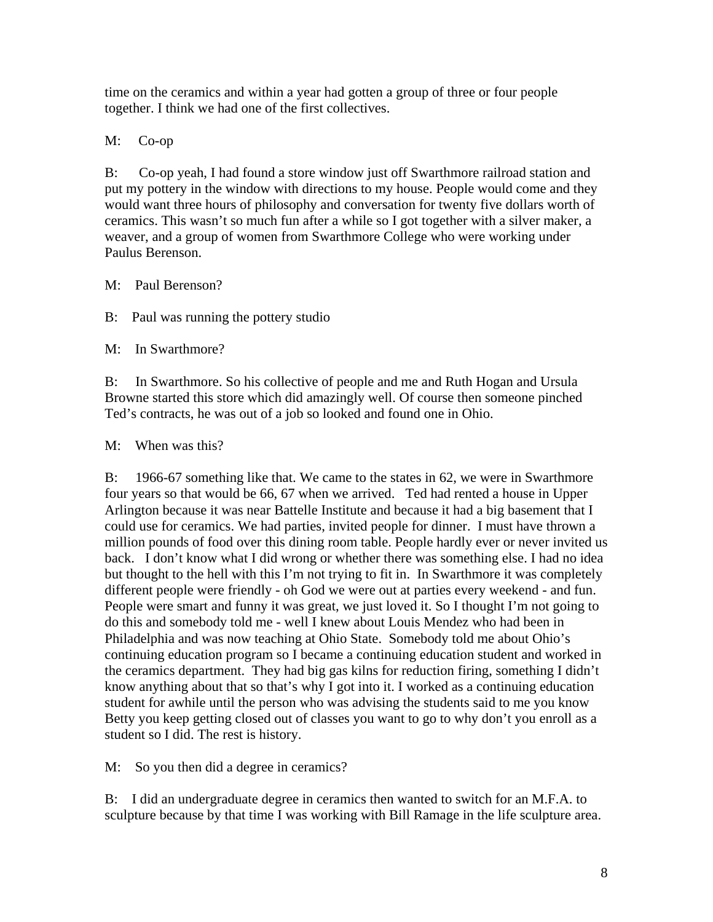time on the ceramics and within a year had gotten a group of three or four people together. I think we had one of the first collectives.

# M: Co-op

B: Co-op yeah, I had found a store window just off Swarthmore railroad station and put my pottery in the window with directions to my house. People would come and they would want three hours of philosophy and conversation for twenty five dollars worth of ceramics. This wasn't so much fun after a while so I got together with a silver maker, a weaver, and a group of women from Swarthmore College who were working under Paulus Berenson.

M: Paul Berenson?

B: Paul was running the pottery studio

M: In Swarthmore?

B: In Swarthmore. So his collective of people and me and Ruth Hogan and Ursula Browne started this store which did amazingly well. Of course then someone pinched Ted's contracts, he was out of a job so looked and found one in Ohio.

# M: When was this?

B: 1966-67 something like that. We came to the states in 62, we were in Swarthmore four years so that would be 66, 67 when we arrived. Ted had rented a house in Upper Arlington because it was near Battelle Institute and because it had a big basement that I could use for ceramics. We had parties, invited people for dinner. I must have thrown a million pounds of food over this dining room table. People hardly ever or never invited us back. I don't know what I did wrong or whether there was something else. I had no idea but thought to the hell with this I'm not trying to fit in. In Swarthmore it was completely different people were friendly - oh God we were out at parties every weekend - and fun. People were smart and funny it was great, we just loved it. So I thought I'm not going to do this and somebody told me - well I knew about Louis Mendez who had been in Philadelphia and was now teaching at Ohio State. Somebody told me about Ohio's continuing education program so I became a continuing education student and worked in the ceramics department. They had big gas kilns for reduction firing, something I didn't know anything about that so that's why I got into it. I worked as a continuing education student for awhile until the person who was advising the students said to me you know Betty you keep getting closed out of classes you want to go to why don't you enroll as a student so I did. The rest is history.

M: So you then did a degree in ceramics?

B: I did an undergraduate degree in ceramics then wanted to switch for an M.F.A. to sculpture because by that time I was working with Bill Ramage in the life sculpture area.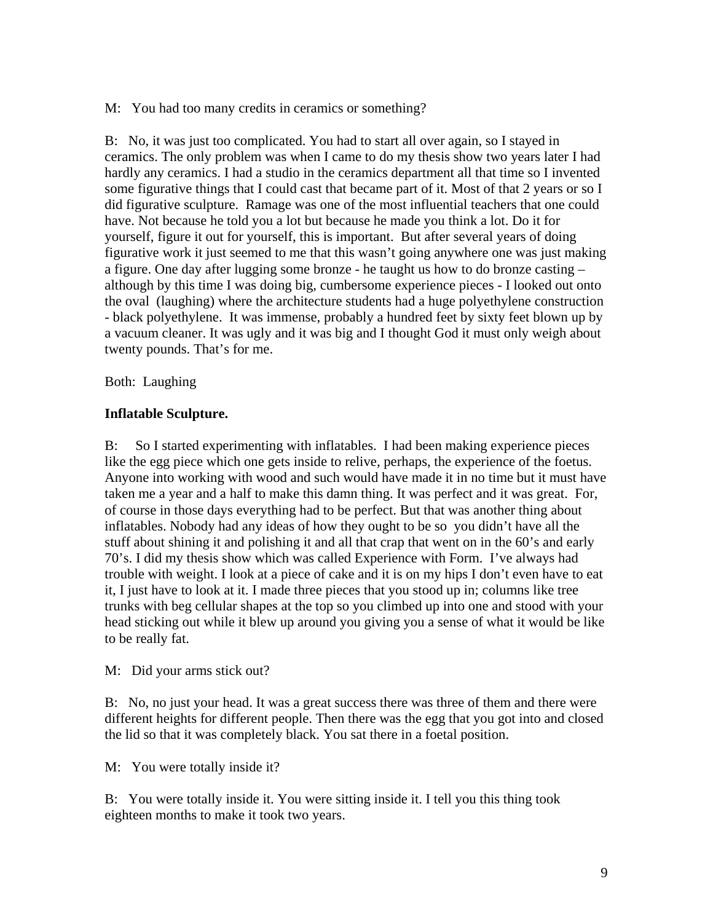M: You had too many credits in ceramics or something?

B: No, it was just too complicated. You had to start all over again, so I stayed in ceramics. The only problem was when I came to do my thesis show two years later I had hardly any ceramics. I had a studio in the ceramics department all that time so I invented some figurative things that I could cast that became part of it. Most of that 2 years or so I did figurative sculpture. Ramage was one of the most influential teachers that one could have. Not because he told you a lot but because he made you think a lot. Do it for yourself, figure it out for yourself, this is important. But after several years of doing figurative work it just seemed to me that this wasn't going anywhere one was just making a figure. One day after lugging some bronze - he taught us how to do bronze casting – although by this time I was doing big, cumbersome experience pieces - I looked out onto the oval (laughing) where the architecture students had a huge polyethylene construction - black polyethylene. It was immense, probably a hundred feet by sixty feet blown up by a vacuum cleaner. It was ugly and it was big and I thought God it must only weigh about twenty pounds. That's for me.

Both: Laughing

# **Inflatable Sculpture.**

B: So I started experimenting with inflatables. I had been making experience pieces like the egg piece which one gets inside to relive, perhaps, the experience of the foetus. Anyone into working with wood and such would have made it in no time but it must have taken me a year and a half to make this damn thing. It was perfect and it was great. For, of course in those days everything had to be perfect. But that was another thing about inflatables. Nobody had any ideas of how they ought to be so you didn't have all the stuff about shining it and polishing it and all that crap that went on in the 60's and early 70's. I did my thesis show which was called Experience with Form. I've always had trouble with weight. I look at a piece of cake and it is on my hips I don't even have to eat it, I just have to look at it. I made three pieces that you stood up in; columns like tree trunks with beg cellular shapes at the top so you climbed up into one and stood with your head sticking out while it blew up around you giving you a sense of what it would be like to be really fat.

M: Did your arms stick out?

B: No, no just your head. It was a great success there was three of them and there were different heights for different people. Then there was the egg that you got into and closed the lid so that it was completely black. You sat there in a foetal position.

M: You were totally inside it?

B: You were totally inside it. You were sitting inside it. I tell you this thing took eighteen months to make it took two years.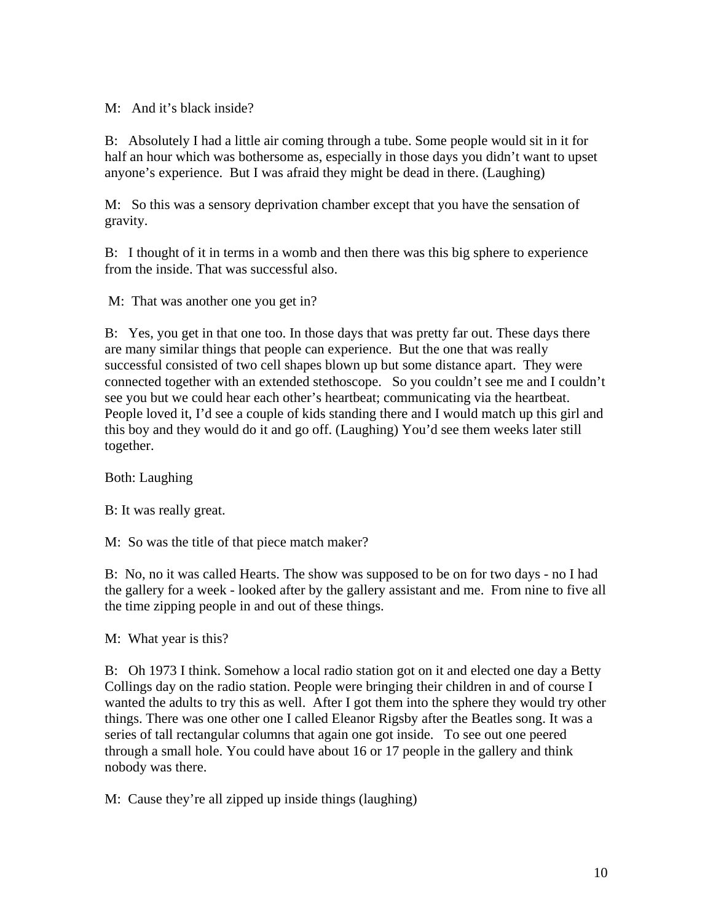## M: And it's black inside?

B: Absolutely I had a little air coming through a tube. Some people would sit in it for half an hour which was bothersome as, especially in those days you didn't want to upset anyone's experience. But I was afraid they might be dead in there. (Laughing)

M: So this was a sensory deprivation chamber except that you have the sensation of gravity.

B: I thought of it in terms in a womb and then there was this big sphere to experience from the inside. That was successful also.

M: That was another one you get in?

B: Yes, you get in that one too. In those days that was pretty far out. These days there are many similar things that people can experience. But the one that was really successful consisted of two cell shapes blown up but some distance apart. They were connected together with an extended stethoscope. So you couldn't see me and I couldn't see you but we could hear each other's heartbeat; communicating via the heartbeat. People loved it, I'd see a couple of kids standing there and I would match up this girl and this boy and they would do it and go off. (Laughing) You'd see them weeks later still together.

Both: Laughing

B: It was really great.

M: So was the title of that piece match maker?

B: No, no it was called Hearts. The show was supposed to be on for two days - no I had the gallery for a week - looked after by the gallery assistant and me. From nine to five all the time zipping people in and out of these things.

M: What year is this?

B: Oh 1973 I think. Somehow a local radio station got on it and elected one day a Betty Collings day on the radio station. People were bringing their children in and of course I wanted the adults to try this as well. After I got them into the sphere they would try other things. There was one other one I called Eleanor Rigsby after the Beatles song. It was a series of tall rectangular columns that again one got inside. To see out one peered through a small hole. You could have about 16 or 17 people in the gallery and think nobody was there.

M: Cause they're all zipped up inside things (laughing)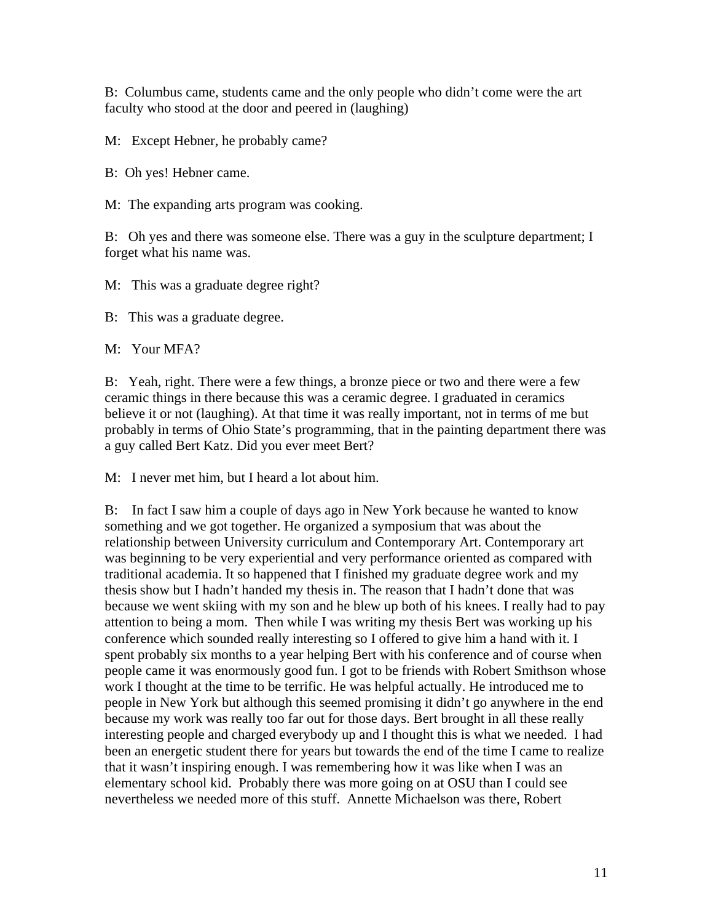B: Columbus came, students came and the only people who didn't come were the art faculty who stood at the door and peered in (laughing)

M: Except Hebner, he probably came?

B: Oh yes! Hebner came.

M: The expanding arts program was cooking.

B: Oh yes and there was someone else. There was a guy in the sculpture department; I forget what his name was.

M: This was a graduate degree right?

B: This was a graduate degree.

M: Your MFA?

B: Yeah, right. There were a few things, a bronze piece or two and there were a few ceramic things in there because this was a ceramic degree. I graduated in ceramics believe it or not (laughing). At that time it was really important, not in terms of me but probably in terms of Ohio State's programming, that in the painting department there was a guy called Bert Katz. Did you ever meet Bert?

M: I never met him, but I heard a lot about him.

B: In fact I saw him a couple of days ago in New York because he wanted to know something and we got together. He organized a symposium that was about the relationship between University curriculum and Contemporary Art. Contemporary art was beginning to be very experiential and very performance oriented as compared with traditional academia. It so happened that I finished my graduate degree work and my thesis show but I hadn't handed my thesis in. The reason that I hadn't done that was because we went skiing with my son and he blew up both of his knees. I really had to pay attention to being a mom. Then while I was writing my thesis Bert was working up his conference which sounded really interesting so I offered to give him a hand with it. I spent probably six months to a year helping Bert with his conference and of course when people came it was enormously good fun. I got to be friends with Robert Smithson whose work I thought at the time to be terrific. He was helpful actually. He introduced me to people in New York but although this seemed promising it didn't go anywhere in the end because my work was really too far out for those days. Bert brought in all these really interesting people and charged everybody up and I thought this is what we needed. I had been an energetic student there for years but towards the end of the time I came to realize that it wasn't inspiring enough. I was remembering how it was like when I was an elementary school kid. Probably there was more going on at OSU than I could see nevertheless we needed more of this stuff. Annette Michaelson was there, Robert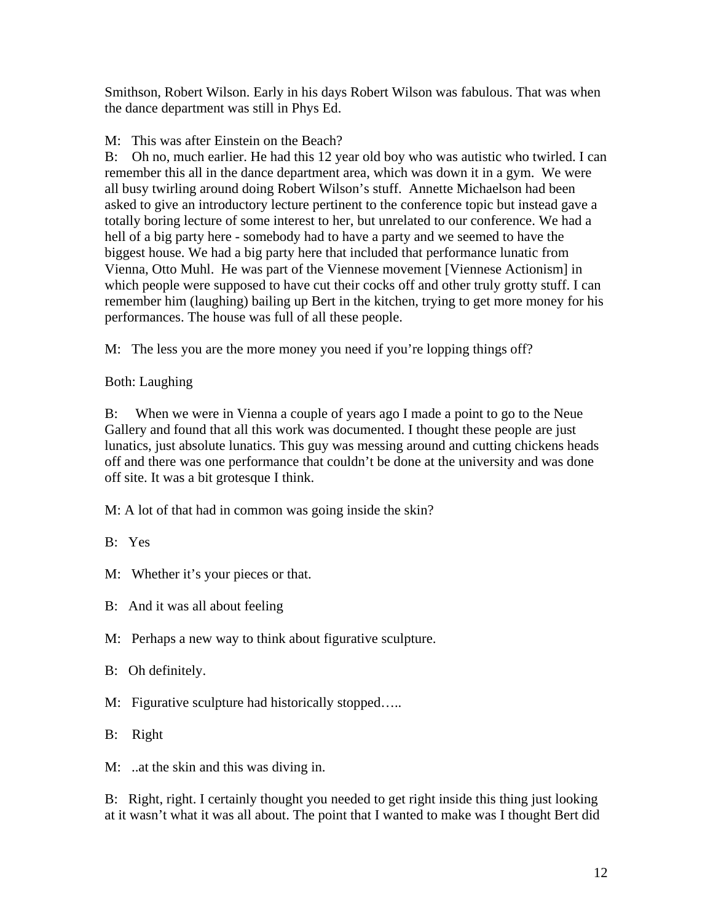Smithson, Robert Wilson. Early in his days Robert Wilson was fabulous. That was when the dance department was still in Phys Ed.

M: This was after Einstein on the Beach?

B: Oh no, much earlier. He had this 12 year old boy who was autistic who twirled. I can remember this all in the dance department area, which was down it in a gym. We were all busy twirling around doing Robert Wilson's stuff. Annette Michaelson had been asked to give an introductory lecture pertinent to the conference topic but instead gave a totally boring lecture of some interest to her, but unrelated to our conference. We had a hell of a big party here - somebody had to have a party and we seemed to have the biggest house. We had a big party here that included that performance lunatic from Vienna, Otto Muhl. He was part of the Viennese movement [Viennese Actionism] in which people were supposed to have cut their cocks off and other truly grotty stuff. I can remember him (laughing) bailing up Bert in the kitchen, trying to get more money for his performances. The house was full of all these people.

M: The less you are the more money you need if you're lopping things off?

Both: Laughing

B: When we were in Vienna a couple of years ago I made a point to go to the Neue Gallery and found that all this work was documented. I thought these people are just lunatics, just absolute lunatics. This guy was messing around and cutting chickens heads off and there was one performance that couldn't be done at the university and was done off site. It was a bit grotesque I think.

M: A lot of that had in common was going inside the skin?

B: Yes

M: Whether it's your pieces or that.

B: And it was all about feeling

M: Perhaps a new way to think about figurative sculpture.

B: Oh definitely.

M: Figurative sculpture had historically stopped.....

B: Right

M: ..at the skin and this was diving in.

B: Right, right. I certainly thought you needed to get right inside this thing just looking at it wasn't what it was all about. The point that I wanted to make was I thought Bert did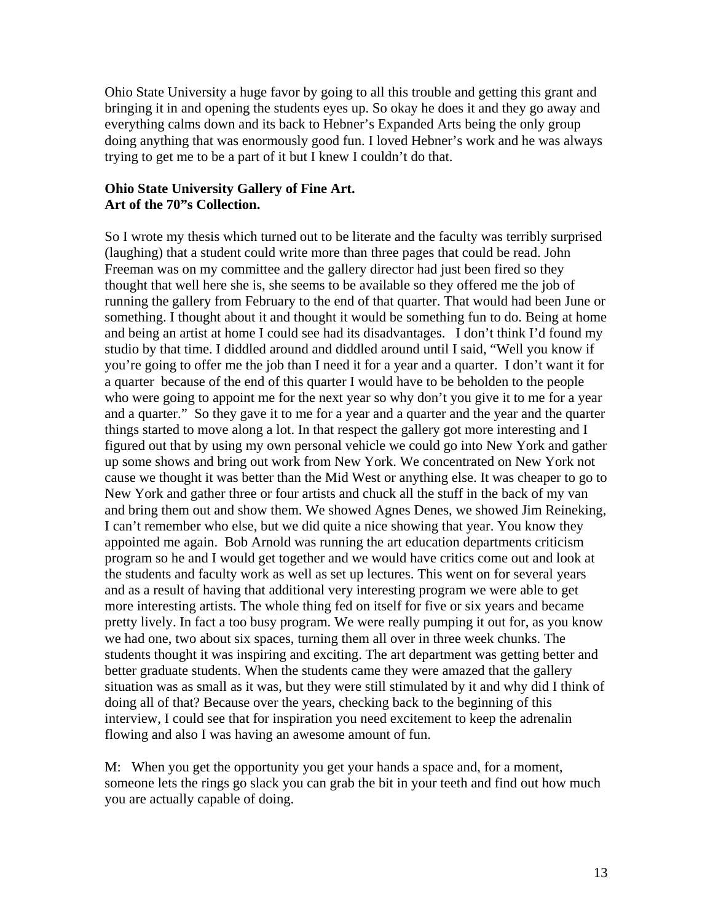Ohio State University a huge favor by going to all this trouble and getting this grant and bringing it in and opening the students eyes up. So okay he does it and they go away and everything calms down and its back to Hebner's Expanded Arts being the only group doing anything that was enormously good fun. I loved Hebner's work and he was always trying to get me to be a part of it but I knew I couldn't do that.

#### **Ohio State University Gallery of Fine Art. Art of the 70"s Collection.**

So I wrote my thesis which turned out to be literate and the faculty was terribly surprised (laughing) that a student could write more than three pages that could be read. John Freeman was on my committee and the gallery director had just been fired so they thought that well here she is, she seems to be available so they offered me the job of running the gallery from February to the end of that quarter. That would had been June or something. I thought about it and thought it would be something fun to do. Being at home and being an artist at home I could see had its disadvantages. I don't think I'd found my studio by that time. I diddled around and diddled around until I said, "Well you know if you're going to offer me the job than I need it for a year and a quarter. I don't want it for a quarter because of the end of this quarter I would have to be beholden to the people who were going to appoint me for the next year so why don't you give it to me for a year and a quarter." So they gave it to me for a year and a quarter and the year and the quarter things started to move along a lot. In that respect the gallery got more interesting and I figured out that by using my own personal vehicle we could go into New York and gather up some shows and bring out work from New York. We concentrated on New York not cause we thought it was better than the Mid West or anything else. It was cheaper to go to New York and gather three or four artists and chuck all the stuff in the back of my van and bring them out and show them. We showed Agnes Denes, we showed Jim Reineking, I can't remember who else, but we did quite a nice showing that year. You know they appointed me again. Bob Arnold was running the art education departments criticism program so he and I would get together and we would have critics come out and look at the students and faculty work as well as set up lectures. This went on for several years and as a result of having that additional very interesting program we were able to get more interesting artists. The whole thing fed on itself for five or six years and became pretty lively. In fact a too busy program. We were really pumping it out for, as you know we had one, two about six spaces, turning them all over in three week chunks. The students thought it was inspiring and exciting. The art department was getting better and better graduate students. When the students came they were amazed that the gallery situation was as small as it was, but they were still stimulated by it and why did I think of doing all of that? Because over the years, checking back to the beginning of this interview, I could see that for inspiration you need excitement to keep the adrenalin flowing and also I was having an awesome amount of fun.

M: When you get the opportunity you get your hands a space and, for a moment, someone lets the rings go slack you can grab the bit in your teeth and find out how much you are actually capable of doing.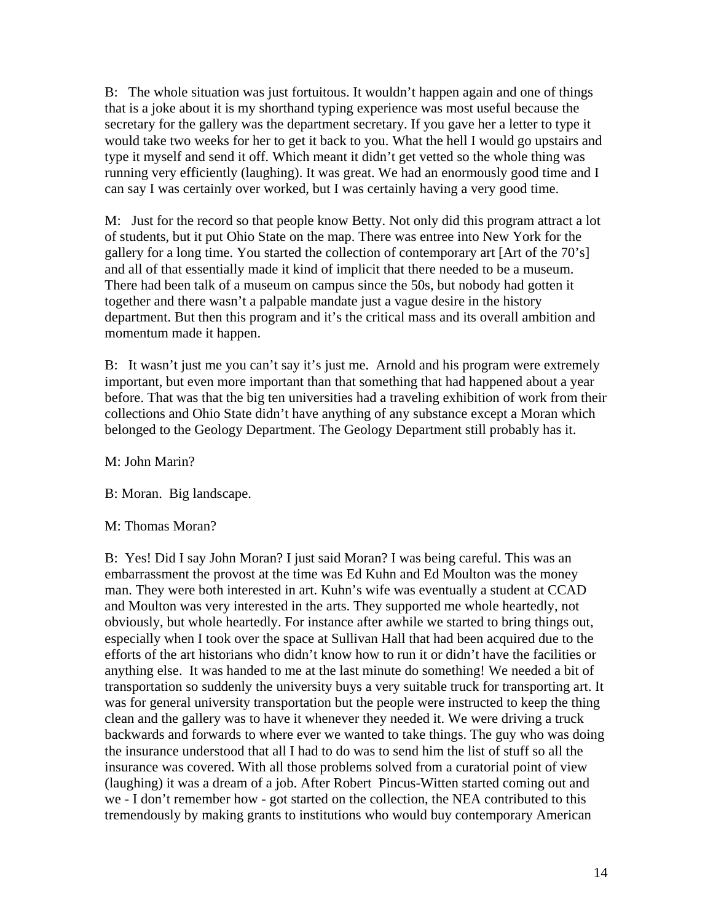B: The whole situation was just fortuitous. It wouldn't happen again and one of things that is a joke about it is my shorthand typing experience was most useful because the secretary for the gallery was the department secretary. If you gave her a letter to type it would take two weeks for her to get it back to you. What the hell I would go upstairs and type it myself and send it off. Which meant it didn't get vetted so the whole thing was running very efficiently (laughing). It was great. We had an enormously good time and I can say I was certainly over worked, but I was certainly having a very good time.

M: Just for the record so that people know Betty. Not only did this program attract a lot of students, but it put Ohio State on the map. There was entree into New York for the gallery for a long time. You started the collection of contemporary art [Art of the 70's] and all of that essentially made it kind of implicit that there needed to be a museum. There had been talk of a museum on campus since the 50s, but nobody had gotten it together and there wasn't a palpable mandate just a vague desire in the history department. But then this program and it's the critical mass and its overall ambition and momentum made it happen.

B: It wasn't just me you can't say it's just me. Arnold and his program were extremely important, but even more important than that something that had happened about a year before. That was that the big ten universities had a traveling exhibition of work from their collections and Ohio State didn't have anything of any substance except a Moran which belonged to the Geology Department. The Geology Department still probably has it.

M: John Marin?

B: Moran. Big landscape.

#### M: Thomas Moran?

B: Yes! Did I say John Moran? I just said Moran? I was being careful. This was an embarrassment the provost at the time was Ed Kuhn and Ed Moulton was the money man. They were both interested in art. Kuhn's wife was eventually a student at CCAD and Moulton was very interested in the arts. They supported me whole heartedly, not obviously, but whole heartedly. For instance after awhile we started to bring things out, especially when I took over the space at Sullivan Hall that had been acquired due to the efforts of the art historians who didn't know how to run it or didn't have the facilities or anything else. It was handed to me at the last minute do something! We needed a bit of transportation so suddenly the university buys a very suitable truck for transporting art. It was for general university transportation but the people were instructed to keep the thing clean and the gallery was to have it whenever they needed it. We were driving a truck backwards and forwards to where ever we wanted to take things. The guy who was doing the insurance understood that all I had to do was to send him the list of stuff so all the insurance was covered. With all those problems solved from a curatorial point of view (laughing) it was a dream of a job. After Robert Pincus-Witten started coming out and we - I don't remember how - got started on the collection, the NEA contributed to this tremendously by making grants to institutions who would buy contemporary American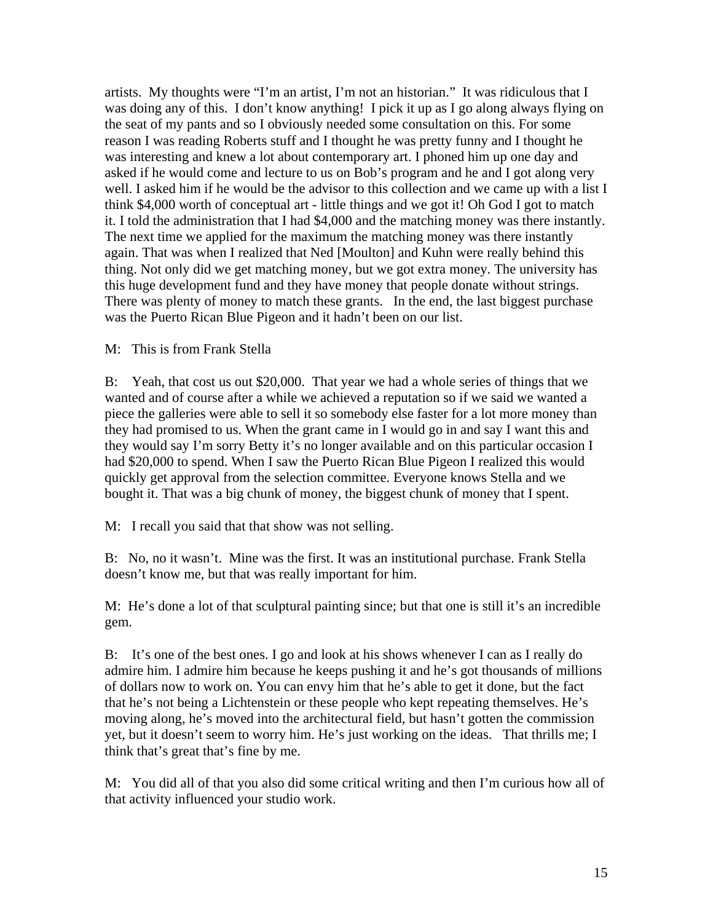artists. My thoughts were "I'm an artist, I'm not an historian." It was ridiculous that I was doing any of this. I don't know anything! I pick it up as I go along always flying on the seat of my pants and so I obviously needed some consultation on this. For some reason I was reading Roberts stuff and I thought he was pretty funny and I thought he was interesting and knew a lot about contemporary art. I phoned him up one day and asked if he would come and lecture to us on Bob's program and he and I got along very well. I asked him if he would be the advisor to this collection and we came up with a list I think \$4,000 worth of conceptual art - little things and we got it! Oh God I got to match it. I told the administration that I had \$4,000 and the matching money was there instantly. The next time we applied for the maximum the matching money was there instantly again. That was when I realized that Ned [Moulton] and Kuhn were really behind this thing. Not only did we get matching money, but we got extra money. The university has this huge development fund and they have money that people donate without strings. There was plenty of money to match these grants. In the end, the last biggest purchase was the Puerto Rican Blue Pigeon and it hadn't been on our list.

#### M: This is from Frank Stella

B: Yeah, that cost us out \$20,000. That year we had a whole series of things that we wanted and of course after a while we achieved a reputation so if we said we wanted a piece the galleries were able to sell it so somebody else faster for a lot more money than they had promised to us. When the grant came in I would go in and say I want this and they would say I'm sorry Betty it's no longer available and on this particular occasion I had \$20,000 to spend. When I saw the Puerto Rican Blue Pigeon I realized this would quickly get approval from the selection committee. Everyone knows Stella and we bought it. That was a big chunk of money, the biggest chunk of money that I spent.

M: I recall you said that that show was not selling.

B: No, no it wasn't. Mine was the first. It was an institutional purchase. Frank Stella doesn't know me, but that was really important for him.

M: He's done a lot of that sculptural painting since; but that one is still it's an incredible gem.

B: It's one of the best ones. I go and look at his shows whenever I can as I really do admire him. I admire him because he keeps pushing it and he's got thousands of millions of dollars now to work on. You can envy him that he's able to get it done, but the fact that he's not being a Lichtenstein or these people who kept repeating themselves. He's moving along, he's moved into the architectural field, but hasn't gotten the commission yet, but it doesn't seem to worry him. He's just working on the ideas. That thrills me; I think that's great that's fine by me.

M: You did all of that you also did some critical writing and then I'm curious how all of that activity influenced your studio work.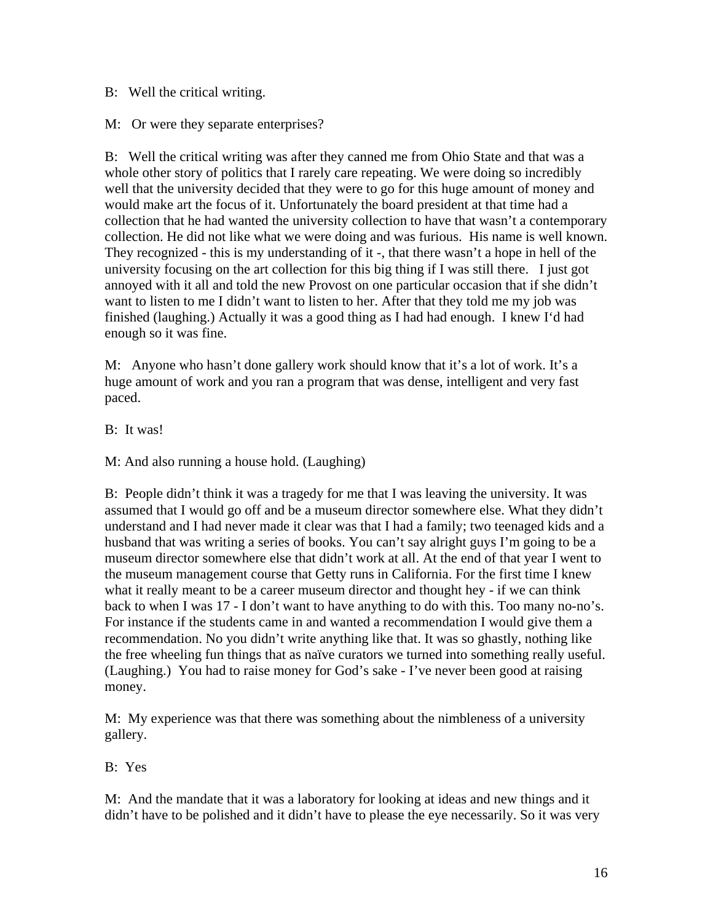B: Well the critical writing.

M: Or were they separate enterprises?

B: Well the critical writing was after they canned me from Ohio State and that was a whole other story of politics that I rarely care repeating. We were doing so incredibly well that the university decided that they were to go for this huge amount of money and would make art the focus of it. Unfortunately the board president at that time had a collection that he had wanted the university collection to have that wasn't a contemporary collection. He did not like what we were doing and was furious. His name is well known. They recognized - this is my understanding of it -, that there wasn't a hope in hell of the university focusing on the art collection for this big thing if I was still there. I just got annoyed with it all and told the new Provost on one particular occasion that if she didn't want to listen to me I didn't want to listen to her. After that they told me my job was finished (laughing.) Actually it was a good thing as I had had enough. I knew I'd had enough so it was fine.

M: Anyone who hasn't done gallery work should know that it's a lot of work. It's a huge amount of work and you ran a program that was dense, intelligent and very fast paced.

B: It was!

M: And also running a house hold. (Laughing)

B: People didn't think it was a tragedy for me that I was leaving the university. It was assumed that I would go off and be a museum director somewhere else. What they didn't understand and I had never made it clear was that I had a family; two teenaged kids and a husband that was writing a series of books. You can't say alright guys I'm going to be a museum director somewhere else that didn't work at all. At the end of that year I went to the museum management course that Getty runs in California. For the first time I knew what it really meant to be a career museum director and thought hey - if we can think back to when I was 17 - I don't want to have anything to do with this. Too many no-no's. For instance if the students came in and wanted a recommendation I would give them a recommendation. No you didn't write anything like that. It was so ghastly, nothing like the free wheeling fun things that as naïve curators we turned into something really useful. (Laughing.) You had to raise money for God's sake - I've never been good at raising money.

M: My experience was that there was something about the nimbleness of a university gallery.

B: Yes

M: And the mandate that it was a laboratory for looking at ideas and new things and it didn't have to be polished and it didn't have to please the eye necessarily. So it was very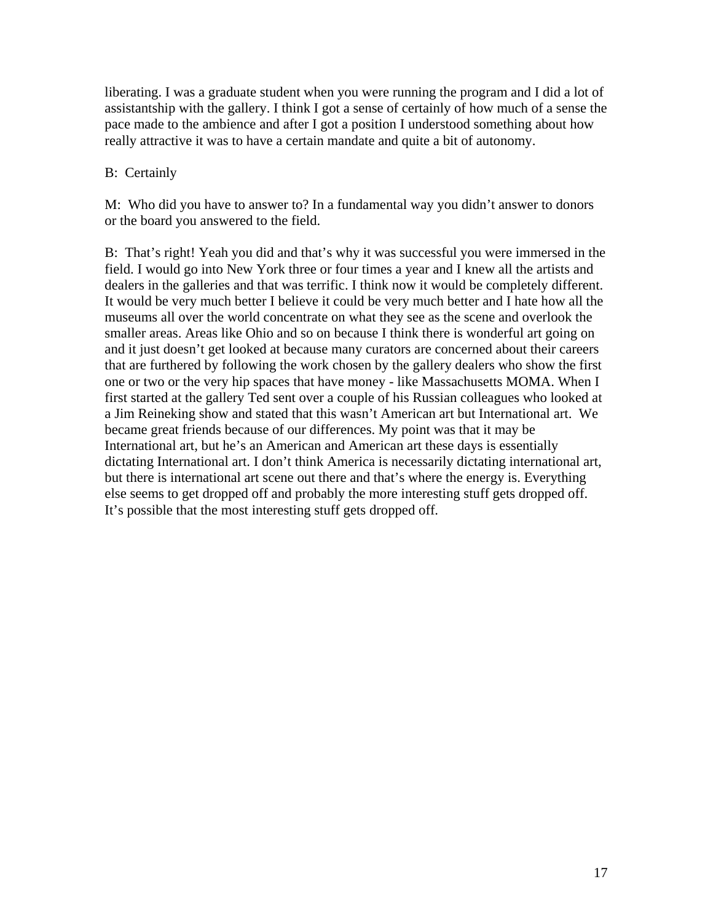liberating. I was a graduate student when you were running the program and I did a lot of assistantship with the gallery. I think I got a sense of certainly of how much of a sense the pace made to the ambience and after I got a position I understood something about how really attractive it was to have a certain mandate and quite a bit of autonomy.

# B: Certainly

M: Who did you have to answer to? In a fundamental way you didn't answer to donors or the board you answered to the field.

B: That's right! Yeah you did and that's why it was successful you were immersed in the field. I would go into New York three or four times a year and I knew all the artists and dealers in the galleries and that was terrific. I think now it would be completely different. It would be very much better I believe it could be very much better and I hate how all the museums all over the world concentrate on what they see as the scene and overlook the smaller areas. Areas like Ohio and so on because I think there is wonderful art going on and it just doesn't get looked at because many curators are concerned about their careers that are furthered by following the work chosen by the gallery dealers who show the first one or two or the very hip spaces that have money - like Massachusetts MOMA. When I first started at the gallery Ted sent over a couple of his Russian colleagues who looked at a Jim Reineking show and stated that this wasn't American art but International art. We became great friends because of our differences. My point was that it may be International art, but he's an American and American art these days is essentially dictating International art. I don't think America is necessarily dictating international art, but there is international art scene out there and that's where the energy is. Everything else seems to get dropped off and probably the more interesting stuff gets dropped off. It's possible that the most interesting stuff gets dropped off.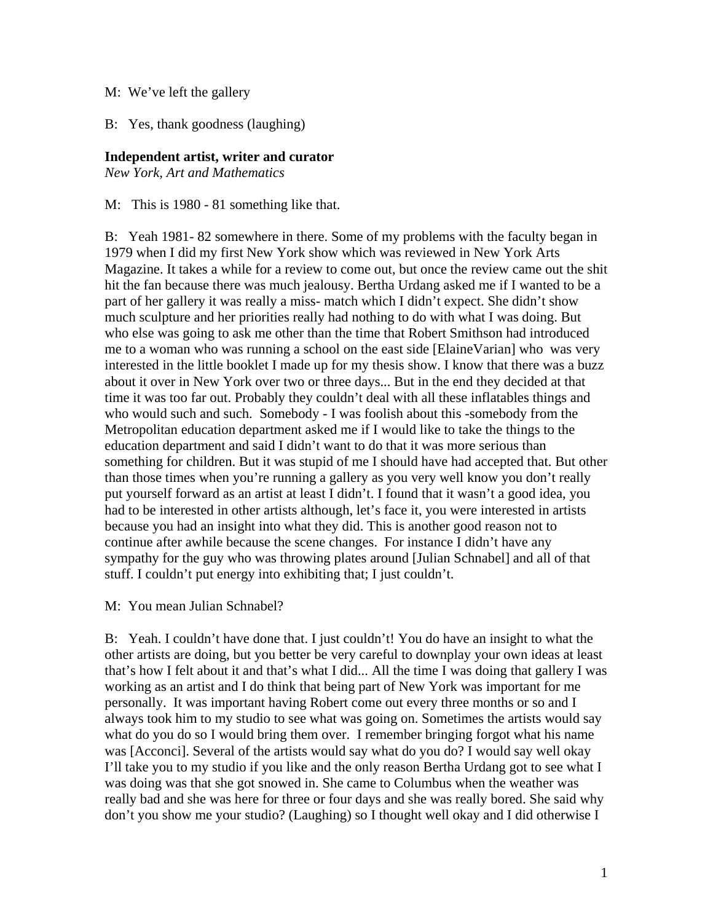#### M: We've left the gallery

B: Yes, thank goodness (laughing)

### **Independent artist, writer and curator**

*New York, Art and Mathematics*

M: This is 1980 - 81 something like that.

B: Yeah 1981- 82 somewhere in there. Some of my problems with the faculty began in 1979 when I did my first New York show which was reviewed in New York Arts Magazine. It takes a while for a review to come out, but once the review came out the shit hit the fan because there was much jealousy. Bertha Urdang asked me if I wanted to be a part of her gallery it was really a miss- match which I didn't expect. She didn't show much sculpture and her priorities really had nothing to do with what I was doing. But who else was going to ask me other than the time that Robert Smithson had introduced me to a woman who was running a school on the east side [ElaineVarian] who was very interested in the little booklet I made up for my thesis show. I know that there was a buzz about it over in New York over two or three days... But in the end they decided at that time it was too far out. Probably they couldn't deal with all these inflatables things and who would such and such. Somebody - I was foolish about this -somebody from the Metropolitan education department asked me if I would like to take the things to the education department and said I didn't want to do that it was more serious than something for children. But it was stupid of me I should have had accepted that. But other than those times when you're running a gallery as you very well know you don't really put yourself forward as an artist at least I didn't. I found that it wasn't a good idea, you had to be interested in other artists although, let's face it, you were interested in artists because you had an insight into what they did. This is another good reason not to continue after awhile because the scene changes. For instance I didn't have any sympathy for the guy who was throwing plates around [Julian Schnabel] and all of that stuff. I couldn't put energy into exhibiting that; I just couldn't.

M: You mean Julian Schnabel?

B: Yeah. I couldn't have done that. I just couldn't! You do have an insight to what the other artists are doing, but you better be very careful to downplay your own ideas at least that's how I felt about it and that's what I did... All the time I was doing that gallery I was working as an artist and I do think that being part of New York was important for me personally. It was important having Robert come out every three months or so and I always took him to my studio to see what was going on. Sometimes the artists would say what do you do so I would bring them over. I remember bringing forgot what his name was [Acconci]. Several of the artists would say what do you do? I would say well okay I'll take you to my studio if you like and the only reason Bertha Urdang got to see what I was doing was that she got snowed in. She came to Columbus when the weather was really bad and she was here for three or four days and she was really bored. She said why don't you show me your studio? (Laughing) so I thought well okay and I did otherwise I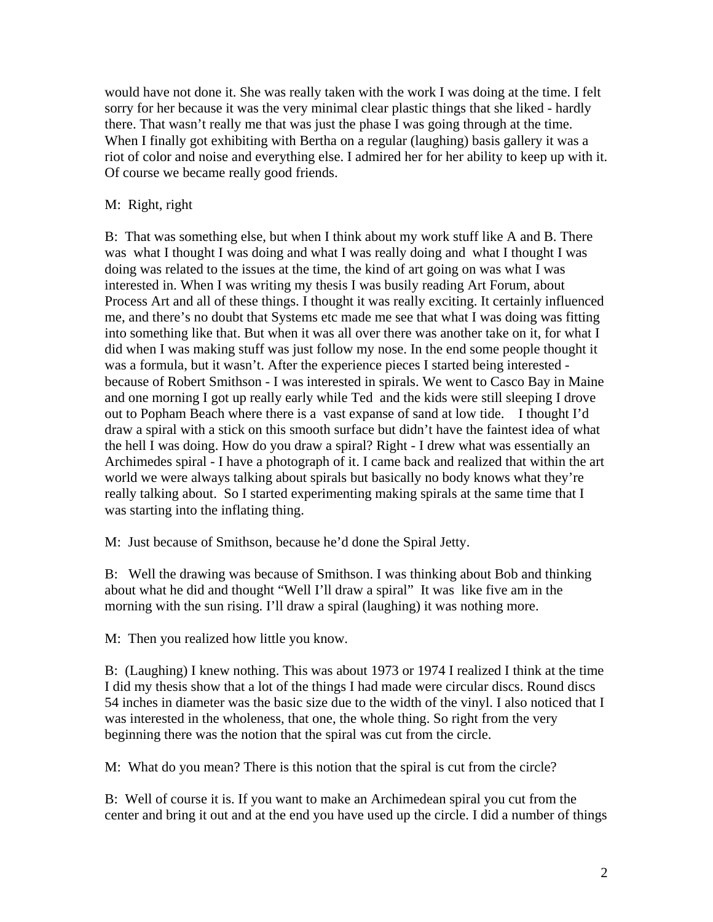would have not done it. She was really taken with the work I was doing at the time. I felt sorry for her because it was the very minimal clear plastic things that she liked - hardly there. That wasn't really me that was just the phase I was going through at the time. When I finally got exhibiting with Bertha on a regular (laughing) basis gallery it was a riot of color and noise and everything else. I admired her for her ability to keep up with it. Of course we became really good friends.

## M: Right, right

B: That was something else, but when I think about my work stuff like A and B. There was what I thought I was doing and what I was really doing and what I thought I was doing was related to the issues at the time, the kind of art going on was what I was interested in. When I was writing my thesis I was busily reading Art Forum, about Process Art and all of these things. I thought it was really exciting. It certainly influenced me, and there's no doubt that Systems etc made me see that what I was doing was fitting into something like that. But when it was all over there was another take on it, for what I did when I was making stuff was just follow my nose. In the end some people thought it was a formula, but it wasn't. After the experience pieces I started being interested because of Robert Smithson - I was interested in spirals. We went to Casco Bay in Maine and one morning I got up really early while Ted and the kids were still sleeping I drove out to Popham Beach where there is a vast expanse of sand at low tide. I thought I'd draw a spiral with a stick on this smooth surface but didn't have the faintest idea of what the hell I was doing. How do you draw a spiral? Right - I drew what was essentially an Archimedes spiral - I have a photograph of it. I came back and realized that within the art world we were always talking about spirals but basically no body knows what they're really talking about. So I started experimenting making spirals at the same time that I was starting into the inflating thing.

M: Just because of Smithson, because he'd done the Spiral Jetty.

B: Well the drawing was because of Smithson. I was thinking about Bob and thinking about what he did and thought "Well I'll draw a spiral" It was like five am in the morning with the sun rising. I'll draw a spiral (laughing) it was nothing more.

M: Then you realized how little you know.

B: (Laughing) I knew nothing. This was about 1973 or 1974 I realized I think at the time I did my thesis show that a lot of the things I had made were circular discs. Round discs 54 inches in diameter was the basic size due to the width of the vinyl. I also noticed that I was interested in the wholeness, that one, the whole thing. So right from the very beginning there was the notion that the spiral was cut from the circle.

M: What do you mean? There is this notion that the spiral is cut from the circle?

B: Well of course it is. If you want to make an Archimedean spiral you cut from the center and bring it out and at the end you have used up the circle. I did a number of things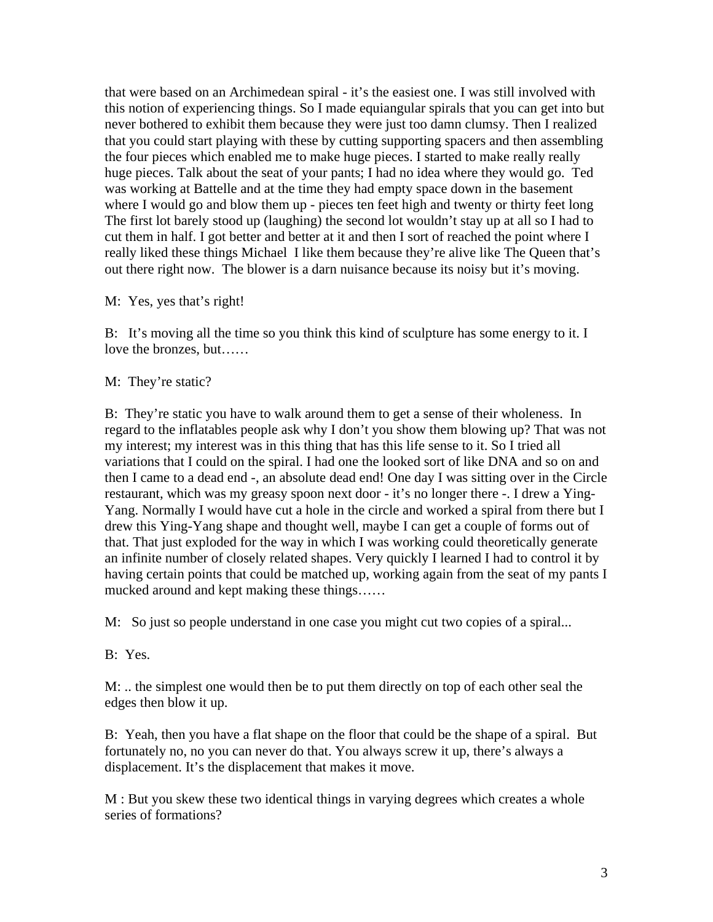that were based on an Archimedean spiral - it's the easiest one. I was still involved with this notion of experiencing things. So I made equiangular spirals that you can get into but never bothered to exhibit them because they were just too damn clumsy. Then I realized that you could start playing with these by cutting supporting spacers and then assembling the four pieces which enabled me to make huge pieces. I started to make really really huge pieces. Talk about the seat of your pants; I had no idea where they would go. Ted was working at Battelle and at the time they had empty space down in the basement where I would go and blow them up - pieces ten feet high and twenty or thirty feet long The first lot barely stood up (laughing) the second lot wouldn't stay up at all so I had to cut them in half. I got better and better at it and then I sort of reached the point where I really liked these things Michael I like them because they're alive like The Queen that's out there right now. The blower is a darn nuisance because its noisy but it's moving.

#### M: Yes, yes that's right!

B: It's moving all the time so you think this kind of sculpture has some energy to it. I love the bronzes, but……

#### M: They're static?

B: They're static you have to walk around them to get a sense of their wholeness. In regard to the inflatables people ask why I don't you show them blowing up? That was not my interest; my interest was in this thing that has this life sense to it. So I tried all variations that I could on the spiral. I had one the looked sort of like DNA and so on and then I came to a dead end -, an absolute dead end! One day I was sitting over in the Circle restaurant, which was my greasy spoon next door - it's no longer there -. I drew a Ying-Yang. Normally I would have cut a hole in the circle and worked a spiral from there but I drew this Ying-Yang shape and thought well, maybe I can get a couple of forms out of that. That just exploded for the way in which I was working could theoretically generate an infinite number of closely related shapes. Very quickly I learned I had to control it by having certain points that could be matched up, working again from the seat of my pants I mucked around and kept making these things……

M: So just so people understand in one case you might cut two copies of a spiral...

#### B: Yes.

M: .. the simplest one would then be to put them directly on top of each other seal the edges then blow it up.

B: Yeah, then you have a flat shape on the floor that could be the shape of a spiral. But fortunately no, no you can never do that. You always screw it up, there's always a displacement. It's the displacement that makes it move.

M : But you skew these two identical things in varying degrees which creates a whole series of formations?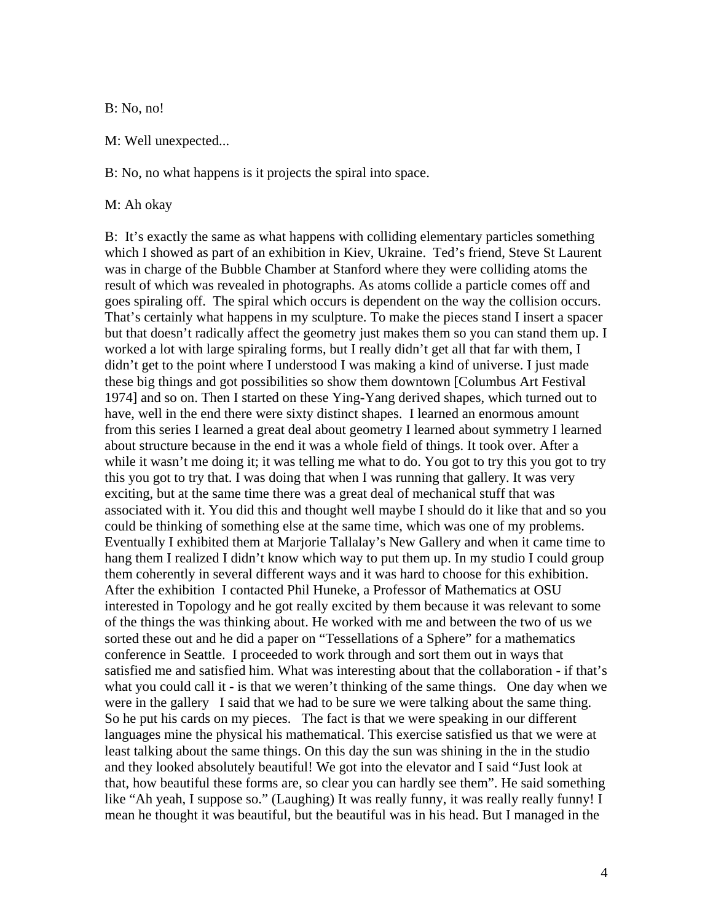B: No, no!

M: Well unexpected...

B: No, no what happens is it projects the spiral into space.

M: Ah okay

B: It's exactly the same as what happens with colliding elementary particles something which I showed as part of an exhibition in Kiev, Ukraine. Ted's friend, Steve St Laurent was in charge of the Bubble Chamber at Stanford where they were colliding atoms the result of which was revealed in photographs. As atoms collide a particle comes off and goes spiraling off. The spiral which occurs is dependent on the way the collision occurs. That's certainly what happens in my sculpture. To make the pieces stand I insert a spacer but that doesn't radically affect the geometry just makes them so you can stand them up. I worked a lot with large spiraling forms, but I really didn't get all that far with them, I didn't get to the point where I understood I was making a kind of universe. I just made these big things and got possibilities so show them downtown [Columbus Art Festival 1974] and so on. Then I started on these Ying-Yang derived shapes, which turned out to have, well in the end there were sixty distinct shapes. I learned an enormous amount from this series I learned a great deal about geometry I learned about symmetry I learned about structure because in the end it was a whole field of things. It took over. After a while it wasn't me doing it; it was telling me what to do. You got to try this you got to try this you got to try that. I was doing that when I was running that gallery. It was very exciting, but at the same time there was a great deal of mechanical stuff that was associated with it. You did this and thought well maybe I should do it like that and so you could be thinking of something else at the same time, which was one of my problems. Eventually I exhibited them at Marjorie Tallalay's New Gallery and when it came time to hang them I realized I didn't know which way to put them up. In my studio I could group them coherently in several different ways and it was hard to choose for this exhibition. After the exhibition I contacted Phil Huneke, a Professor of Mathematics at OSU interested in Topology and he got really excited by them because it was relevant to some of the things the was thinking about. He worked with me and between the two of us we sorted these out and he did a paper on "Tessellations of a Sphere" for a mathematics conference in Seattle. I proceeded to work through and sort them out in ways that satisfied me and satisfied him. What was interesting about that the collaboration - if that's what you could call it - is that we weren't thinking of the same things. One day when we were in the gallery I said that we had to be sure we were talking about the same thing. So he put his cards on my pieces. The fact is that we were speaking in our different languages mine the physical his mathematical. This exercise satisfied us that we were at least talking about the same things. On this day the sun was shining in the in the studio and they looked absolutely beautiful! We got into the elevator and I said "Just look at that, how beautiful these forms are, so clear you can hardly see them". He said something like "Ah yeah, I suppose so." (Laughing) It was really funny, it was really really funny! I mean he thought it was beautiful, but the beautiful was in his head. But I managed in the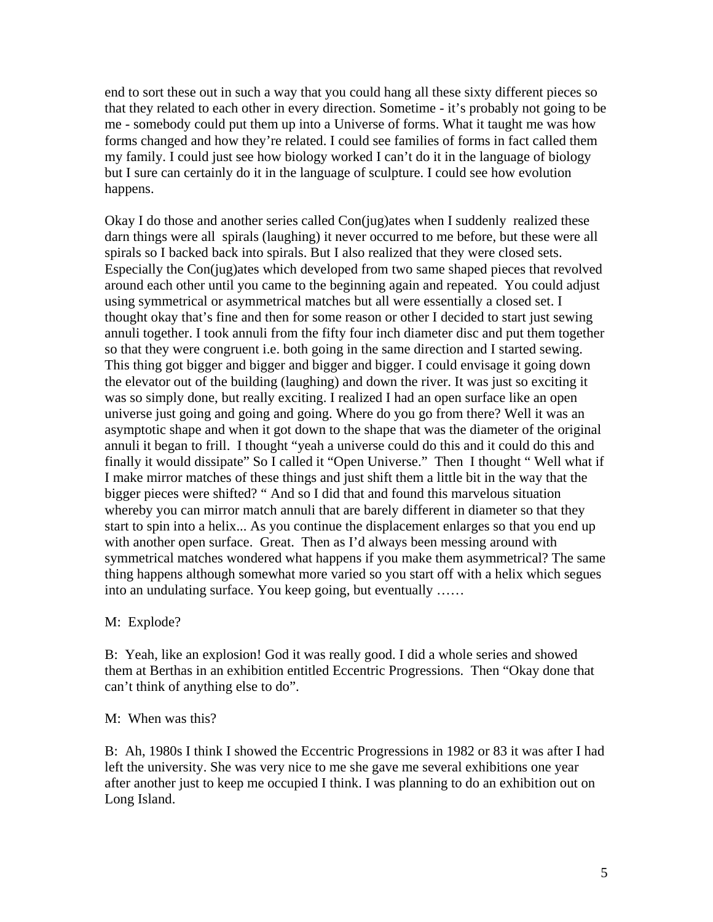end to sort these out in such a way that you could hang all these sixty different pieces so that they related to each other in every direction. Sometime - it's probably not going to be me - somebody could put them up into a Universe of forms. What it taught me was how forms changed and how they're related. I could see families of forms in fact called them my family. I could just see how biology worked I can't do it in the language of biology but I sure can certainly do it in the language of sculpture. I could see how evolution happens.

Okay I do those and another series called Con(jug)ates when I suddenly realized these darn things were all spirals (laughing) it never occurred to me before, but these were all spirals so I backed back into spirals. But I also realized that they were closed sets. Especially the Con(jug)ates which developed from two same shaped pieces that revolved around each other until you came to the beginning again and repeated. You could adjust using symmetrical or asymmetrical matches but all were essentially a closed set. I thought okay that's fine and then for some reason or other I decided to start just sewing annuli together. I took annuli from the fifty four inch diameter disc and put them together so that they were congruent i.e. both going in the same direction and I started sewing. This thing got bigger and bigger and bigger and bigger. I could envisage it going down the elevator out of the building (laughing) and down the river. It was just so exciting it was so simply done, but really exciting. I realized I had an open surface like an open universe just going and going and going. Where do you go from there? Well it was an asymptotic shape and when it got down to the shape that was the diameter of the original annuli it began to frill. I thought "yeah a universe could do this and it could do this and finally it would dissipate" So I called it "Open Universe." Then I thought " Well what if I make mirror matches of these things and just shift them a little bit in the way that the bigger pieces were shifted? " And so I did that and found this marvelous situation whereby you can mirror match annuli that are barely different in diameter so that they start to spin into a helix... As you continue the displacement enlarges so that you end up with another open surface. Great. Then as I'd always been messing around with symmetrical matches wondered what happens if you make them asymmetrical? The same thing happens although somewhat more varied so you start off with a helix which segues into an undulating surface. You keep going, but eventually ……

M: Explode?

B: Yeah, like an explosion! God it was really good. I did a whole series and showed them at Berthas in an exhibition entitled Eccentric Progressions. Then "Okay done that can't think of anything else to do".

M: When was this?

B: Ah, 1980s I think I showed the Eccentric Progressions in 1982 or 83 it was after I had left the university. She was very nice to me she gave me several exhibitions one year after another just to keep me occupied I think. I was planning to do an exhibition out on Long Island.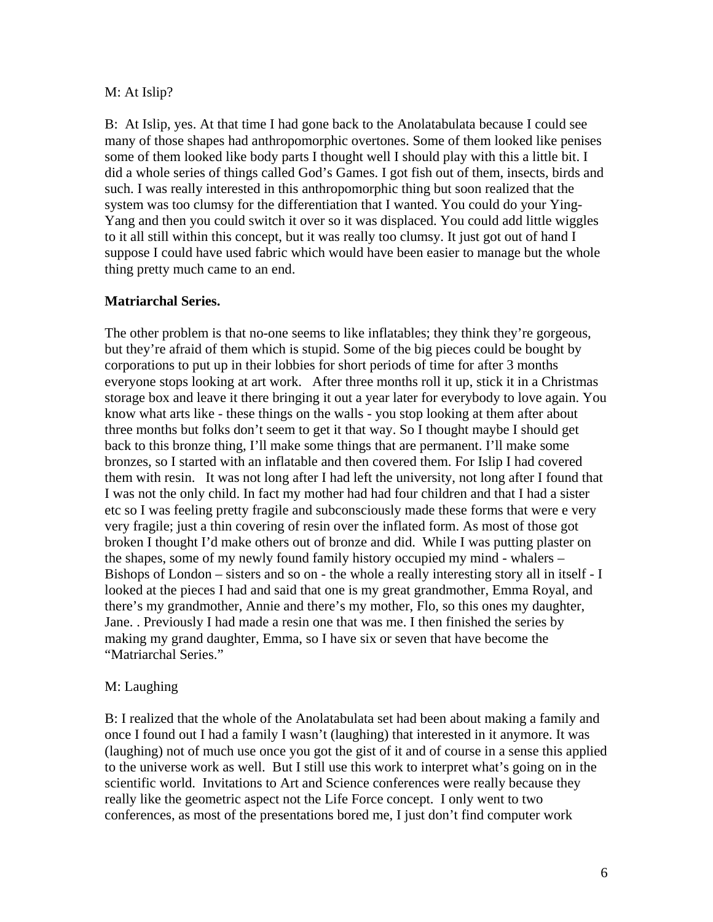#### M: At Islip?

B: At Islip, yes. At that time I had gone back to the Anolatabulata because I could see many of those shapes had anthropomorphic overtones. Some of them looked like penises some of them looked like body parts I thought well I should play with this a little bit. I did a whole series of things called God's Games. I got fish out of them, insects, birds and such. I was really interested in this anthropomorphic thing but soon realized that the system was too clumsy for the differentiation that I wanted. You could do your Ying-Yang and then you could switch it over so it was displaced. You could add little wiggles to it all still within this concept, but it was really too clumsy. It just got out of hand I suppose I could have used fabric which would have been easier to manage but the whole thing pretty much came to an end.

# **Matriarchal Series.**

The other problem is that no-one seems to like inflatables; they think they're gorgeous, but they're afraid of them which is stupid. Some of the big pieces could be bought by corporations to put up in their lobbies for short periods of time for after 3 months everyone stops looking at art work. After three months roll it up, stick it in a Christmas storage box and leave it there bringing it out a year later for everybody to love again. You know what arts like - these things on the walls - you stop looking at them after about three months but folks don't seem to get it that way. So I thought maybe I should get back to this bronze thing, I'll make some things that are permanent. I'll make some bronzes, so I started with an inflatable and then covered them. For Islip I had covered them with resin. It was not long after I had left the university, not long after I found that I was not the only child. In fact my mother had had four children and that I had a sister etc so I was feeling pretty fragile and subconsciously made these forms that were e very very fragile; just a thin covering of resin over the inflated form. As most of those got broken I thought I'd make others out of bronze and did. While I was putting plaster on the shapes, some of my newly found family history occupied my mind - whalers – Bishops of London – sisters and so on - the whole a really interesting story all in itself - I looked at the pieces I had and said that one is my great grandmother, Emma Royal, and there's my grandmother, Annie and there's my mother, Flo, so this ones my daughter, Jane. . Previously I had made a resin one that was me. I then finished the series by making my grand daughter, Emma, so I have six or seven that have become the "Matriarchal Series."

# M: Laughing

B: I realized that the whole of the Anolatabulata set had been about making a family and once I found out I had a family I wasn't (laughing) that interested in it anymore. It was (laughing) not of much use once you got the gist of it and of course in a sense this applied to the universe work as well. But I still use this work to interpret what's going on in the scientific world. Invitations to Art and Science conferences were really because they really like the geometric aspect not the Life Force concept. I only went to two conferences, as most of the presentations bored me, I just don't find computer work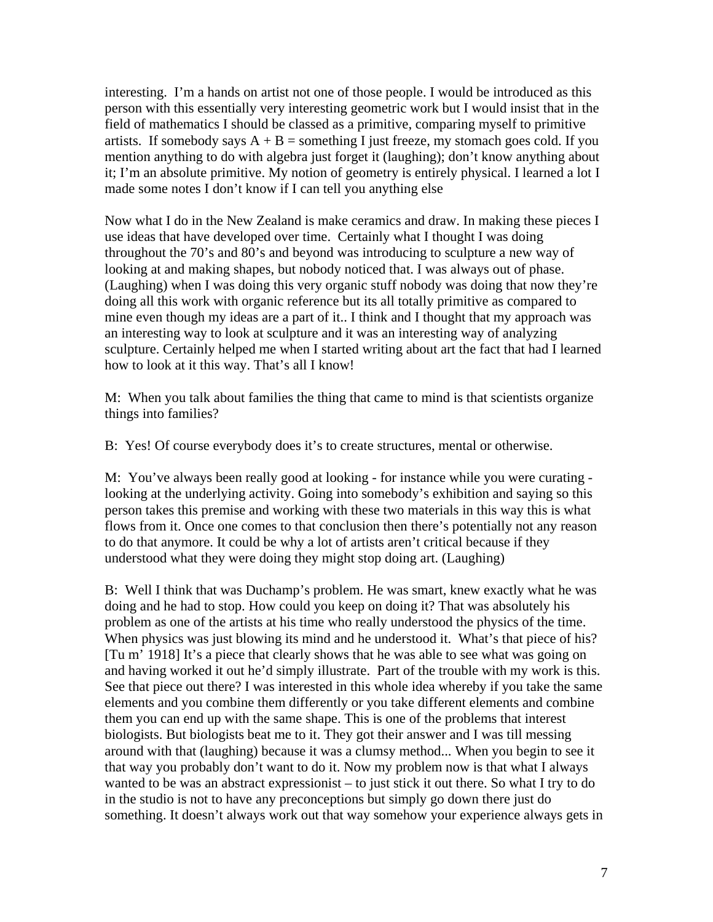interesting. I'm a hands on artist not one of those people. I would be introduced as this person with this essentially very interesting geometric work but I would insist that in the field of mathematics I should be classed as a primitive, comparing myself to primitive artists. If somebody says  $A + B$  = something I just freeze, my stomach goes cold. If you mention anything to do with algebra just forget it (laughing); don't know anything about it; I'm an absolute primitive. My notion of geometry is entirely physical. I learned a lot I made some notes I don't know if I can tell you anything else

Now what I do in the New Zealand is make ceramics and draw. In making these pieces I use ideas that have developed over time. Certainly what I thought I was doing throughout the 70's and 80's and beyond was introducing to sculpture a new way of looking at and making shapes, but nobody noticed that. I was always out of phase. (Laughing) when I was doing this very organic stuff nobody was doing that now they're doing all this work with organic reference but its all totally primitive as compared to mine even though my ideas are a part of it.. I think and I thought that my approach was an interesting way to look at sculpture and it was an interesting way of analyzing sculpture. Certainly helped me when I started writing about art the fact that had I learned how to look at it this way. That's all I know!

M: When you talk about families the thing that came to mind is that scientists organize things into families?

B: Yes! Of course everybody does it's to create structures, mental or otherwise.

M: You've always been really good at looking - for instance while you were curating looking at the underlying activity. Going into somebody's exhibition and saying so this person takes this premise and working with these two materials in this way this is what flows from it. Once one comes to that conclusion then there's potentially not any reason to do that anymore. It could be why a lot of artists aren't critical because if they understood what they were doing they might stop doing art. (Laughing)

B: Well I think that was Duchamp's problem. He was smart, knew exactly what he was doing and he had to stop. How could you keep on doing it? That was absolutely his problem as one of the artists at his time who really understood the physics of the time. When physics was just blowing its mind and he understood it. What's that piece of his? [Tu m' 1918] It's a piece that clearly shows that he was able to see what was going on and having worked it out he'd simply illustrate. Part of the trouble with my work is this. See that piece out there? I was interested in this whole idea whereby if you take the same elements and you combine them differently or you take different elements and combine them you can end up with the same shape. This is one of the problems that interest biologists. But biologists beat me to it. They got their answer and I was till messing around with that (laughing) because it was a clumsy method... When you begin to see it that way you probably don't want to do it. Now my problem now is that what I always wanted to be was an abstract expressionist – to just stick it out there. So what I try to do in the studio is not to have any preconceptions but simply go down there just do something. It doesn't always work out that way somehow your experience always gets in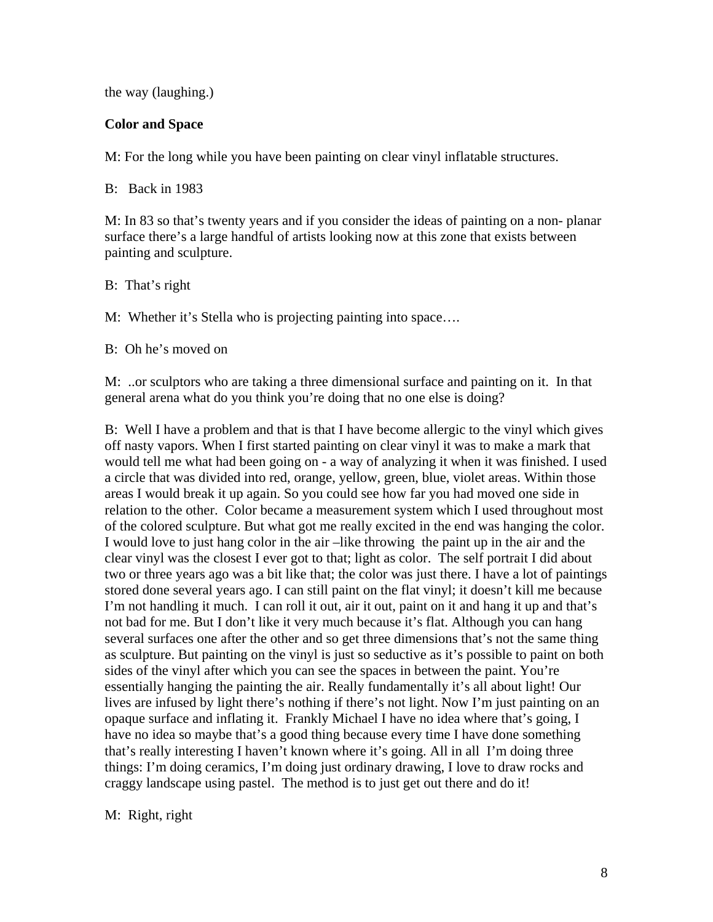the way (laughing.)

### **Color and Space**

M: For the long while you have been painting on clear vinyl inflatable structures.

B: Back in 1983

M: In 83 so that's twenty years and if you consider the ideas of painting on a non- planar surface there's a large handful of artists looking now at this zone that exists between painting and sculpture.

B: That's right

M: Whether it's Stella who is projecting painting into space….

B: Oh he's moved on

M: ..or sculptors who are taking a three dimensional surface and painting on it. In that general arena what do you think you're doing that no one else is doing?

B: Well I have a problem and that is that I have become allergic to the vinyl which gives off nasty vapors. When I first started painting on clear vinyl it was to make a mark that would tell me what had been going on - a way of analyzing it when it was finished. I used a circle that was divided into red, orange, yellow, green, blue, violet areas. Within those areas I would break it up again. So you could see how far you had moved one side in relation to the other. Color became a measurement system which I used throughout most of the colored sculpture. But what got me really excited in the end was hanging the color. I would love to just hang color in the air –like throwing the paint up in the air and the clear vinyl was the closest I ever got to that; light as color. The self portrait I did about two or three years ago was a bit like that; the color was just there. I have a lot of paintings stored done several years ago. I can still paint on the flat vinyl; it doesn't kill me because I'm not handling it much. I can roll it out, air it out, paint on it and hang it up and that's not bad for me. But I don't like it very much because it's flat. Although you can hang several surfaces one after the other and so get three dimensions that's not the same thing as sculpture. But painting on the vinyl is just so seductive as it's possible to paint on both sides of the vinyl after which you can see the spaces in between the paint. You're essentially hanging the painting the air. Really fundamentally it's all about light! Our lives are infused by light there's nothing if there's not light. Now I'm just painting on an opaque surface and inflating it. Frankly Michael I have no idea where that's going, I have no idea so maybe that's a good thing because every time I have done something that's really interesting I haven't known where it's going. All in all I'm doing three things: I'm doing ceramics, I'm doing just ordinary drawing, I love to draw rocks and craggy landscape using pastel. The method is to just get out there and do it!

#### M: Right, right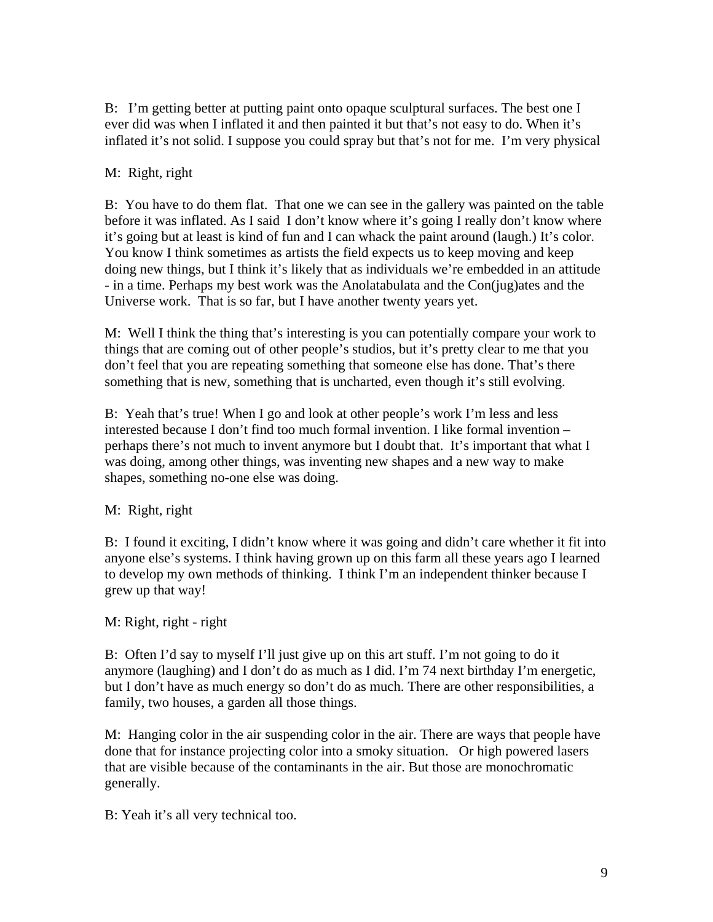B: I'm getting better at putting paint onto opaque sculptural surfaces. The best one I ever did was when I inflated it and then painted it but that's not easy to do. When it's inflated it's not solid. I suppose you could spray but that's not for me. I'm very physical

# M: Right, right

B: You have to do them flat. That one we can see in the gallery was painted on the table before it was inflated. As I said I don't know where it's going I really don't know where it's going but at least is kind of fun and I can whack the paint around (laugh.) It's color. You know I think sometimes as artists the field expects us to keep moving and keep doing new things, but I think it's likely that as individuals we're embedded in an attitude - in a time. Perhaps my best work was the Anolatabulata and the Con(jug)ates and the Universe work. That is so far, but I have another twenty years yet.

M: Well I think the thing that's interesting is you can potentially compare your work to things that are coming out of other people's studios, but it's pretty clear to me that you don't feel that you are repeating something that someone else has done. That's there something that is new, something that is uncharted, even though it's still evolving.

B: Yeah that's true! When I go and look at other people's work I'm less and less interested because I don't find too much formal invention. I like formal invention – perhaps there's not much to invent anymore but I doubt that. It's important that what I was doing, among other things, was inventing new shapes and a new way to make shapes, something no-one else was doing.

M: Right, right

B: I found it exciting, I didn't know where it was going and didn't care whether it fit into anyone else's systems. I think having grown up on this farm all these years ago I learned to develop my own methods of thinking. I think I'm an independent thinker because I grew up that way!

M: Right, right - right

B: Often I'd say to myself I'll just give up on this art stuff. I'm not going to do it anymore (laughing) and I don't do as much as I did. I'm 74 next birthday I'm energetic, but I don't have as much energy so don't do as much. There are other responsibilities, a family, two houses, a garden all those things.

M: Hanging color in the air suspending color in the air. There are ways that people have done that for instance projecting color into a smoky situation. Or high powered lasers that are visible because of the contaminants in the air. But those are monochromatic generally.

B: Yeah it's all very technical too.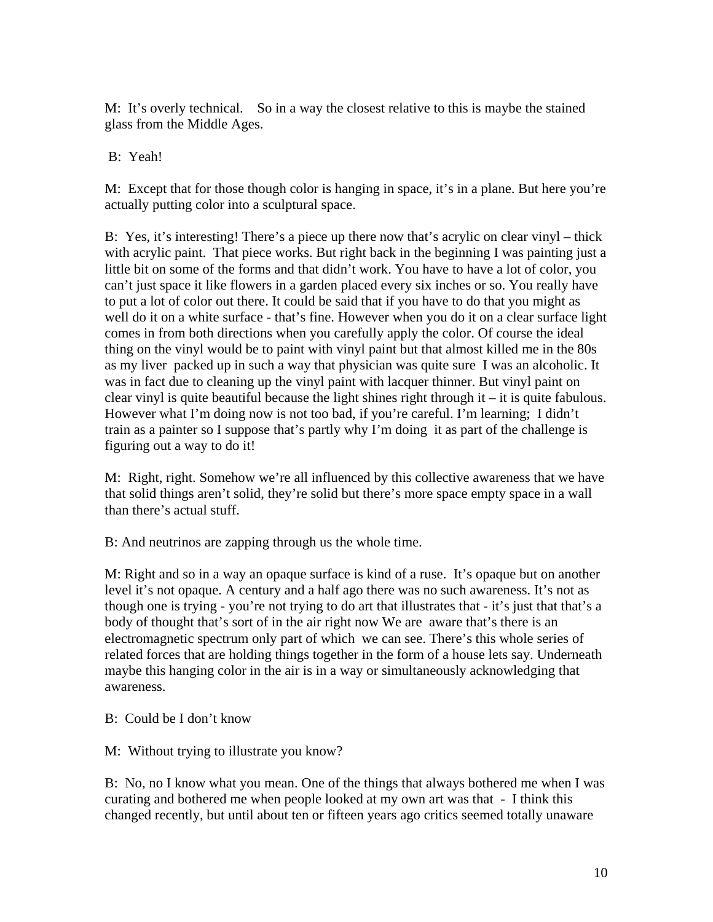M: It's overly technical. So in a way the closest relative to this is maybe the stained glass from the Middle Ages.

# B: Yeah!

M: Except that for those though color is hanging in space, it's in a plane. But here you're actually putting color into a sculptural space.

B: Yes, it's interesting! There's a piece up there now that's acrylic on clear vinyl – thick with acrylic paint. That piece works. But right back in the beginning I was painting just a little bit on some of the forms and that didn't work. You have to have a lot of color, you can't just space it like flowers in a garden placed every six inches or so. You really have to put a lot of color out there. It could be said that if you have to do that you might as well do it on a white surface - that's fine. However when you do it on a clear surface light comes in from both directions when you carefully apply the color. Of course the ideal thing on the vinyl would be to paint with vinyl paint but that almost killed me in the 80s as my liver packed up in such a way that physician was quite sure I was an alcoholic. It was in fact due to cleaning up the vinyl paint with lacquer thinner. But vinyl paint on clear vinyl is quite beautiful because the light shines right through it – it is quite fabulous. However what I'm doing now is not too bad, if you're careful. I'm learning; I didn't train as a painter so I suppose that's partly why I'm doing it as part of the challenge is figuring out a way to do it!

M: Right, right. Somehow we're all influenced by this collective awareness that we have that solid things aren't solid, they're solid but there's more space empty space in a wall than there's actual stuff.

B: And neutrinos are zapping through us the whole time.

M: Right and so in a way an opaque surface is kind of a ruse. It's opaque but on another level it's not opaque. A century and a half ago there was no such awareness. It's not as though one is trying - you're not trying to do art that illustrates that - it's just that that's a body of thought that's sort of in the air right now We are aware that's there is an electromagnetic spectrum only part of which we can see. There's this whole series of related forces that are holding things together in the form of a house lets say. Underneath maybe this hanging color in the air is in a way or simultaneously acknowledging that awareness.

#### B: Could be I don't know

M: Without trying to illustrate you know?

B: No, no I know what you mean. One of the things that always bothered me when I was curating and bothered me when people looked at my own art was that - I think this changed recently, but until about ten or fifteen years ago critics seemed totally unaware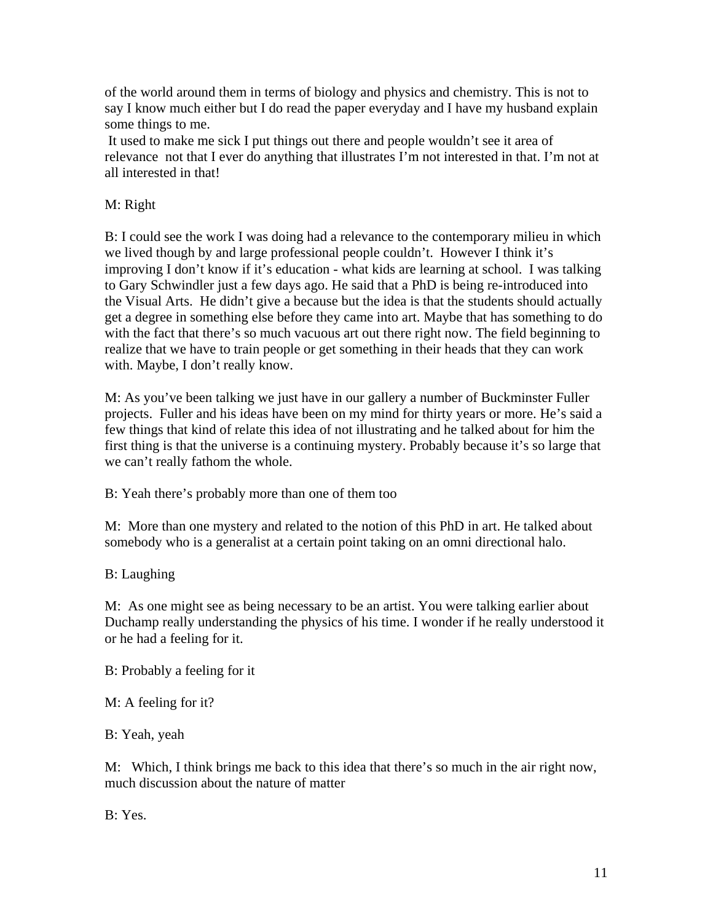of the world around them in terms of biology and physics and chemistry. This is not to say I know much either but I do read the paper everyday and I have my husband explain some things to me.

It used to make me sick I put things out there and people wouldn't see it area of relevance not that I ever do anything that illustrates I'm not interested in that. I'm not at all interested in that!

# M: Right

B: I could see the work I was doing had a relevance to the contemporary milieu in which we lived though by and large professional people couldn't. However I think it's improving I don't know if it's education - what kids are learning at school. I was talking to Gary Schwindler just a few days ago. He said that a PhD is being re-introduced into the Visual Arts. He didn't give a because but the idea is that the students should actually get a degree in something else before they came into art. Maybe that has something to do with the fact that there's so much vacuous art out there right now. The field beginning to realize that we have to train people or get something in their heads that they can work with. Maybe, I don't really know.

M: As you've been talking we just have in our gallery a number of Buckminster Fuller projects. Fuller and his ideas have been on my mind for thirty years or more. He's said a few things that kind of relate this idea of not illustrating and he talked about for him the first thing is that the universe is a continuing mystery. Probably because it's so large that we can't really fathom the whole.

B: Yeah there's probably more than one of them too

M: More than one mystery and related to the notion of this PhD in art. He talked about somebody who is a generalist at a certain point taking on an omni directional halo.

B: Laughing

M: As one might see as being necessary to be an artist. You were talking earlier about Duchamp really understanding the physics of his time. I wonder if he really understood it or he had a feeling for it.

B: Probably a feeling for it

M: A feeling for it?

B: Yeah, yeah

M: Which, I think brings me back to this idea that there's so much in the air right now, much discussion about the nature of matter

B: Yes.